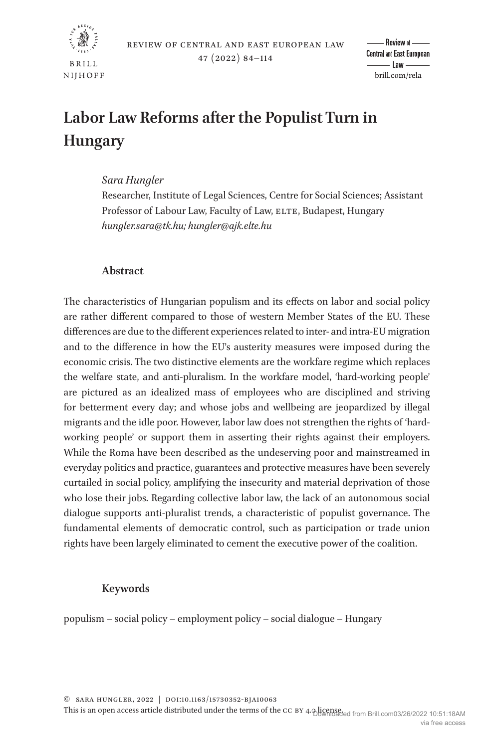

# **Labor Law Reforms after the Populist Turn in Hungary**

# *Sara Hungler*

Researcher, Institute of Legal Sciences, Centre for Social Sciences; Assistant Professor of Labour Law, Faculty of Law, ELTE, Budapest, Hungary *[hungler.sara@tk.hu;](mailto:hungler.sara@tk.hu?subject=) [hungler@ajk.elte.hu](mailto:hungler@ajk.elte.hu?subject=)*

# **Abstract**

The characteristics of Hungarian populism and its effects on labor and social policy are rather different compared to those of western Member States of the EU. These differences are due to the different experiences related to inter- and intra-EU migration and to the difference in how the EU's austerity measures were imposed during the economic crisis. The two distinctive elements are the workfare regime which replaces the welfare state, and anti-pluralism. In the workfare model, 'hard-working people' are pictured as an idealized mass of employees who are disciplined and striving for betterment every day; and whose jobs and wellbeing are jeopardized by illegal migrants and the idle poor. However, labor law does not strengthen the rights of 'hardworking people' or support them in asserting their rights against their employers. While the Roma have been described as the undeserving poor and mainstreamed in everyday politics and practice, guarantees and protective measures have been severely curtailed in social policy, amplifying the insecurity and material deprivation of those who lose their jobs. Regarding collective labor law, the lack of an autonomous social dialogue supports anti-pluralist trends, a characteristic of populist governance. The fundamental elements of democratic control, such as participation or trade union rights have been largely eliminated to cement the executive power of the coalition.

# **Keywords**

populism – social policy – employment policy – social dialogue – Hungary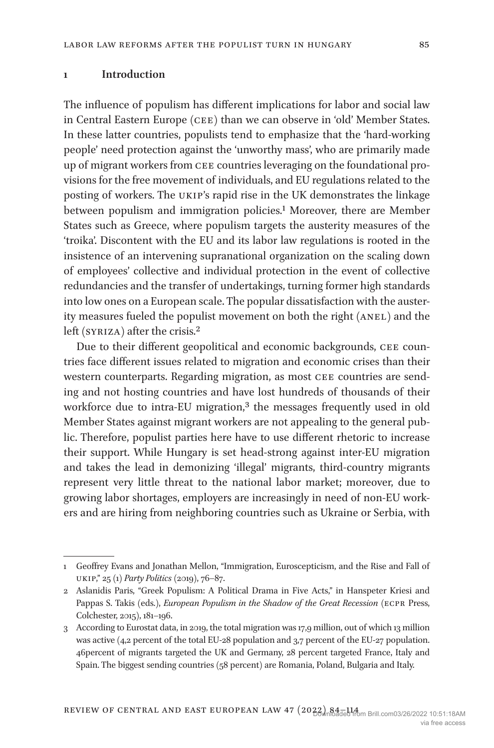## **1 Introduction**

The influence of populism has different implications for labor and social law in Central Eastern Europe (cee) than we can observe in 'old' Member States. In these latter countries, populists tend to emphasize that the 'hard-working people' need protection against the 'unworthy mass', who are primarily made up of migrant workers from cee countries leveraging on the foundational provisions for the free movement of individuals, and EU regulations related to the posting of workers. The ukip's rapid rise in the UK demonstrates the linkage between populism and immigration policies.<sup>1</sup> Moreover, there are Member States such as Greece, where populism targets the austerity measures of the 'troika'. Discontent with the EU and its labor law regulations is rooted in the insistence of an intervening supranational organization on the scaling down of employees' collective and individual protection in the event of collective redundancies and the transfer of undertakings, turning former high standards into low ones on a European scale. The popular dissatisfaction with the austerity measures fueled the populist movement on both the right (ANEL) and the left (SYRIZA) after the crisis.<sup>2</sup>

Due to their different geopolitical and economic backgrounds, CEE countries face different issues related to migration and economic crises than their western counterparts. Regarding migration, as most CEE countries are sending and not hosting countries and have lost hundreds of thousands of their workforce due to intra-EU migration,<sup>3</sup> the messages frequently used in old Member States against migrant workers are not appealing to the general public. Therefore, populist parties here have to use different rhetoric to increase their support. While Hungary is set head-strong against inter-EU migration and takes the lead in demonizing 'illegal' migrants, third-country migrants represent very little threat to the national labor market; moreover, due to growing labor shortages, employers are increasingly in need of non-EU workers and are hiring from neighboring countries such as Ukraine or Serbia, with

<span id="page-1-0"></span><sup>1</sup> Geoffrey Evans and Jonathan Mellon, "Immigration, Euroscepticism, and the Rise and Fall of ukip," 25 (1) *Party Politics* (2019), 76–87.

<span id="page-1-1"></span><sup>2</sup> Aslanidis Paris, "Greek Populism: A Political Drama in Five Acts," in Hanspeter Kriesi and Pappas S. Takis (eds.), *European Populism in the Shadow of the Great Recession* (ECPR Press, Colchester, 2015), 181–196.

<span id="page-1-2"></span><sup>3</sup> According to Eurostat data, in 2019, the total migration was 17,9 million, out of which 13 million was active (4,2 percent of the total EU-28 population and 3,7 percent of the EU-27 population. 46percent of migrants targeted the UK and Germany, 28 percent targeted France, Italy and Spain. The biggest sending countries (58 percent) are Romania, Poland, Bulgaria and Italy.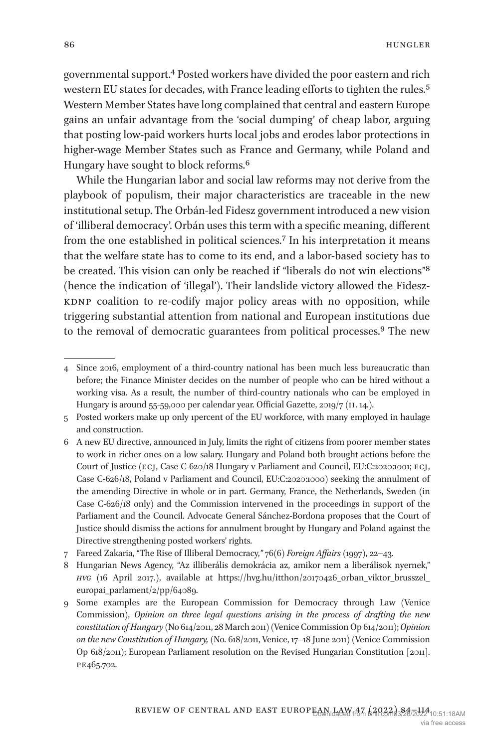governmental support[.4](#page-2-0) Posted workers have divided the poor eastern and rich western EU states for decades, with France leading efforts to tighten the rules.<sup>[5](#page-2-1)</sup> Western Member States have long complained that central and eastern Europe gains an unfair advantage from the 'social dumping' of cheap labor, arguing that posting low-paid workers hurts local jobs and erodes labor protections in higher-wage Member States such as France and Germany, while Poland and Hungary have sought to block reforms[.6](#page-2-2)

While the Hungarian labor and social law reforms may not derive from the playbook of populism, their major characteristics are traceable in the new institutional setup. The Orbán-led Fidesz government introduced a new vision of 'illiberal democracy'. Orbán uses this term with a specific meaning, different from the one established in political sciences.[7](#page-2-3) In his interpretation it means that the welfare state has to come to its end, and a labor-based society has to be created. This vision can only be reached if "liberals do not win elections"[8](#page-2-4) (hence the indication of 'illegal'). Their landslide victory allowed the Fidesz-KDNP coalition to re-codify major policy areas with no opposition, while triggering substantial attention from national and European institutions due to the removal of democratic guarantees from political processes[.9](#page-2-5) The new

<span id="page-2-0"></span><sup>4</sup> Since 2016, employment of a third-country national has been much less bureaucratic than before; the Finance Minister decides on the number of people who can be hired without a working visa. As a result, the number of third-country nationals who can be employed in Hungary is around 55-59,000 per calendar year. Official Gazette, 2019/7 (ii. 14.).

<span id="page-2-1"></span><sup>5</sup> Posted workers make up only 1percent of the EU workforce, with many employed in haulage and construction.

<span id="page-2-2"></span><sup>6</sup> A new EU directive, announced in July, limits the right of citizens from poorer member states to work in richer ones on a low salary. Hungary and Poland both brought actions before the Court of Justice (ecj, Case C-620/18 Hungary v Parliament and Council, EU:C:2020:1001; ecj, Case C-626/18, Poland v Parliament and Council, EU:C:2020:1000) seeking the annulment of the amending Directive in whole or in part. Germany, France, the Netherlands, Sweden (in Case C-626/18 only) and the Commission intervened in the proceedings in support of the Parliament and the Council. Advocate General Sánchez-Bordona proposes that the Court of Justice should dismiss the actions for annulment brought by Hungary and Poland against the Directive strengthening posted workers' rights.

<span id="page-2-3"></span><sup>7</sup> Fareed Zakaria, "The Rise of Illiberal Democracy,*"* 76(6) *Foreign Affairs* (1997), 22–43.

<span id="page-2-4"></span><sup>8</sup> Hungarian News Agency, "Az illiberális demokrácia az, amikor nem a liberálisok nyernek," *hvg* (16 April 2017.), available at [https://hvg.hu/itthon/20170426\\_orban\\_viktor\\_brusszel\\_](https://hvg.hu/itthon/20170426_orban_viktor_brusszel_europai_parlament/2/pp/64089) europai parlament/2/pp/64089.

<span id="page-2-5"></span><sup>9</sup> Some examples are the European Commission for Democracy through Law (Venice Commission), *Opinion on three legal questions arising in the process of drafting the new constitution of Hungary* (No 614/2011, 28 March 2011) (Venice Commission Op 614/2011); *Opinion on the new Constitution of Hungary,* (No. 618/2011, Venice, 17–18 June 2011) (Venice Commission Op 618/2011); European Parliament resolution on the Revised Hungarian Constitution [2011]. pe465.702.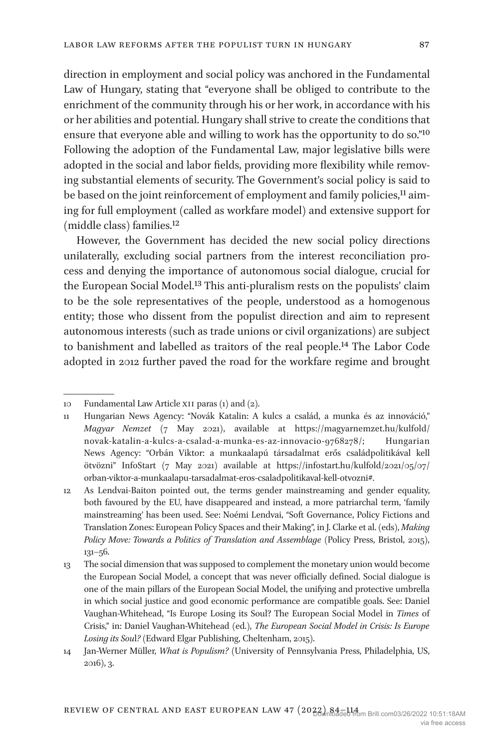direction in employment and social policy was anchored in the Fundamental Law of Hungary, stating that "everyone shall be obliged to contribute to the enrichment of the community through his or her work, in accordance with his or her abilities and potential. Hungary shall strive to create the conditions that ensure that everyone able and willing to work has the opportunity to do so."[10](#page-3-0) Following the adoption of the Fundamental Law, major legislative bills were adopted in the social and labor fields, providing more flexibility while removing substantial elements of security. The Government's social policy is said to be based on the joint reinforcement of employment and family policies,<sup>11</sup> aiming for full employment (called as workfare model) and extensive support for

However, the Government has decided the new social policy directions unilaterally, excluding social partners from the interest reconciliation process and denying the importance of autonomous social dialogue, crucial for the European Social Model[.13](#page-3-3) This anti-pluralism rests on the populists' claim to be the sole representatives of the people, understood as a homogenous entity; those who dissent from the populist direction and aim to represent autonomous interests (such as trade unions or civil organizations) are subject to banishment and labelled as traitors of the real people.[14](#page-3-4) The Labor Code adopted in 2012 further paved the road for the workfare regime and brought

(middle class) families[.12](#page-3-2)

<span id="page-3-0"></span><sup>10</sup> Fundamental Law Article xii paras (1) and (2).

<span id="page-3-1"></span><sup>11</sup> Hungarian News Agency: "Novák Katalin: A kulcs a család, a munka és az innováció," *Magyar Nemzet* (7 May 2021), available at [https://magyarnemzet.hu/kulfold/](https://magyarnemzet.hu/kulfold/novak-katalin-a-kulcs-a-csalad-a-munka-es-az-innovacio-9768278/;) [novak-katalin-a-kulcs-a-csalad-a-munka-es-az-innovacio-9768278/;](https://magyarnemzet.hu/kulfold/novak-katalin-a-kulcs-a-csalad-a-munka-es-az-innovacio-9768278/;) Hungarian News Agency: "Orbán Viktor: a munkaalapú társadalmat erős családpolitikával kell ötvözni" InfoStart (7 May 2021) available at [https://infostart.hu/kulfold/2021/05/07/](https://infostart.hu/kulfold/2021/05/07/orban-viktor-a-munkaalapu-tarsadalmat-eros-csaladpolitikaval-kell-otvozni#) [orban-viktor-a-munkaalapu-tarsadalmat-eros-csaladpolitikaval-kell-otvozni#.](https://infostart.hu/kulfold/2021/05/07/orban-viktor-a-munkaalapu-tarsadalmat-eros-csaladpolitikaval-kell-otvozni#)

<span id="page-3-2"></span><sup>12</sup> As Lendvai-Baiton pointed out, the terms gender mainstreaming and gender equality, both favoured by the EU, have disappeared and instead, a more patriarchal term, 'family mainstreaming' has been used. See: Noémi Lendvai, "Soft Governance, Policy Fictions and Translation Zones: European Policy Spaces and their Making", in J. Clarke et al. (eds), *Making Policy Move: Towards a Politics of Translation and Assemblage* (Policy Press, Bristol, 2015), 131–56.

<span id="page-3-3"></span><sup>13</sup> The social dimension that was supposed to complement the monetary union would become the European Social Model, a concept that was never officially defined. Social dialogue is one of the main pillars of the European Social Model, the unifying and protective umbrella in which social justice and good economic performance are compatible goals. See: Daniel Vaughan-Whitehead, "Is Europe Losing its Soul? The European Social Model in *Times* of Crisis," in: Daniel Vaughan-Whitehead (ed.), *The European Social Model in Crisis: Is Europe Losing its Sou*l*?* (Edward Elgar Publishing, Cheltenham, 2015).

<span id="page-3-4"></span><sup>14</sup> Jan-Werner Müller, *What is Populism?* (University of Pennsylvania Press, Philadelphia, US, 2016), 3.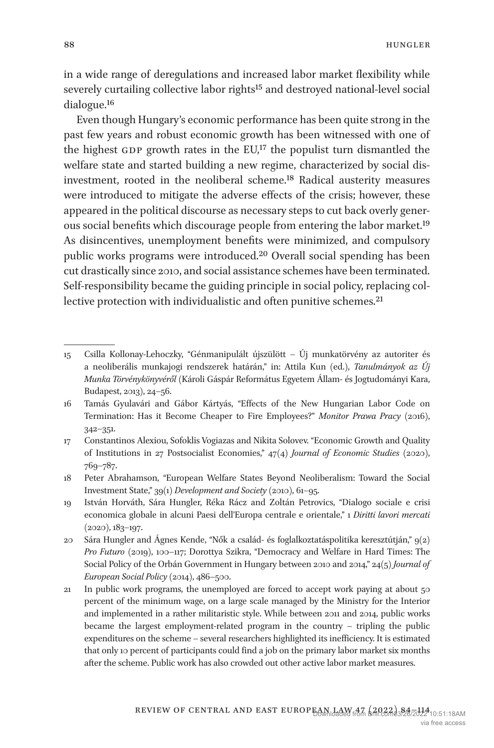in a wide range of deregulations and increased labor market flexibility while severely curtailing collective labor rights<sup>15</sup> and destroyed national-level social dialogue[.16](#page-4-1)

Even though Hungary's economic performance has been quite strong in the past few years and robust economic growth has been witnessed with one of the highest GDP growth rates in the  $EU<sup>17</sup>$  $EU<sup>17</sup>$  $EU<sup>17</sup>$  the populist turn dismantled the welfare state and started building a new regime, characterized by social disinvestment, rooted in the neoliberal scheme[.18](#page-4-3) Radical austerity measures were introduced to mitigate the adverse effects of the crisis; however, these appeared in the political discourse as necessary steps to cut back overly generous social benefits which discourage people from entering the labor market.[19](#page-4-4) As disincentives, unemployment benefits were minimized, and compulsory public works programs were introduced[.20](#page-4-5) Overall social spending has been cut drastically since 2010, and social assistance schemes have been terminated. Self-responsibility became the guiding principle in social policy, replacing collective protection with individualistic and often punitive schemes.<sup>21</sup>

<span id="page-4-0"></span><sup>15</sup> Csilla Kollonay-Lehoczky, "Génmanipulált újszülött – Új munkatörvény az autoriter és a neoliberális munkajogi rendszerek határán," in: Attila Kun (ed.), *Tanulmányok az Új Munka Törvénykönyvéről* (Károli Gáspár Református Egyetem Állam- és Jogtudományi Kara, Budapest, 2013), 24–56.

<span id="page-4-1"></span><sup>16</sup> Tamás Gyulavári and Gábor Kártyás, "Effects of the New Hungarian Labor Code on Termination: Has it Become Cheaper to Fire Employees?" *Monitor Prawa Pracy* (2016), 342–351.

<span id="page-4-2"></span><sup>17</sup> Constantinos Alexiou, Sofoklis Vogiazas and Nikita Solovev. "Economic Growth and Quality of Institutions in 27 Postsocialist Economies," 47(4) *Journal of Economic Studies* (2020), 769–787.

<span id="page-4-3"></span><sup>18</sup> Peter Abrahamson, "European Welfare States Beyond Neoliberalism: Toward the Social Investment State," 39(1) *Development and Society* (2010), 61–95.

<span id="page-4-4"></span><sup>19</sup> István Horváth, Sára Hungler, Réka Rácz and Zoltán Petrovics, "Dialogo sociale e crisi economica globale in alcuni Paesi dell'Europa centrale e orientale," 1 *Diritti lavori mercati* (2020), 183–197.

<span id="page-4-5"></span><sup>20</sup> Sára Hungler and Ágnes Kende, "Nők a család- és foglalkoztatáspolitika keresztútján," 9(2) *Pro Futuro* (2019), 100–117; Dorottya Szikra, "Democracy and Welfare in Hard Times: The Social Policy of the Orbán Government in Hungary between 2010 and 2014," 24(5) *Journal of European Social Policy* (2014), 486–500.

<span id="page-4-6"></span><sup>21</sup> In public work programs, the unemployed are forced to accept work paying at about 50 percent of the minimum wage, on a large scale managed by the Ministry for the Interior and implemented in a rather militaristic style. While between 2011 and 2014, public works became the largest employment-related program in the country – tripling the public expenditures on the scheme – several researchers highlighted its inefficiency. It is estimated that only 10 percent of participants could find a job on the primary labor market six months after the scheme. Public work has also crowded out other active labor market measures.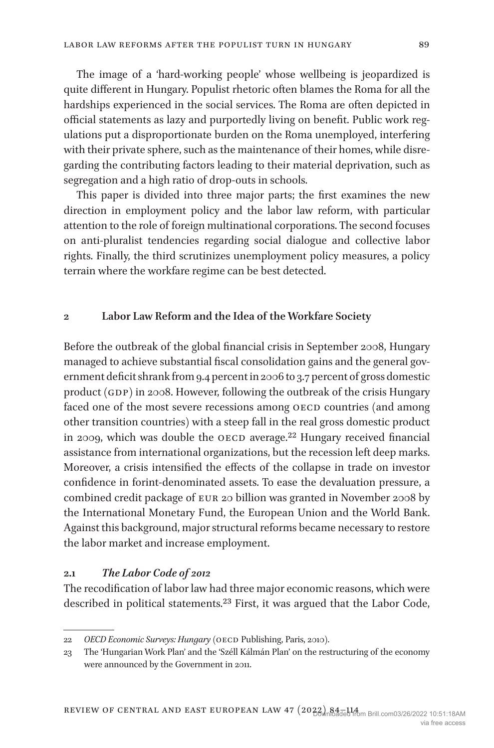The image of a 'hard-working people' whose wellbeing is jeopardized is quite different in Hungary. Populist rhetoric often blames the Roma for all the hardships experienced in the social services. The Roma are often depicted in official statements as lazy and purportedly living on benefit. Public work regulations put a disproportionate burden on the Roma unemployed, interfering with their private sphere, such as the maintenance of their homes, while disregarding the contributing factors leading to their material deprivation, such as segregation and a high ratio of drop-outs in schools.

This paper is divided into three major parts; the first examines the new direction in employment policy and the labor law reform, with particular attention to the role of foreign multinational corporations. The second focuses on anti-pluralist tendencies regarding social dialogue and collective labor rights. Finally, the third scrutinizes unemployment policy measures, a policy terrain where the workfare regime can be best detected.

#### **2 Labor Law Reform and the Idea of the Workfare Society**

Before the outbreak of the global financial crisis in September 2008, Hungary managed to achieve substantial fiscal consolidation gains and the general government deficit shrank from 9.4 percent in 2006 to 3.7 percent of gross domestic product (GDP) in 2008. However, following the outbreak of the crisis Hungary faced one of the most severe recessions among OECD countries (and among other transition countries) with a steep fall in the real gross domestic product in 2009, which was double the OECD average. $22$  Hungary received financial assistance from international organizations, but the recession left deep marks. Moreover, a crisis intensified the effects of the collapse in trade on investor confidence in forint-denominated assets. To ease the devaluation pressure, a combined credit package of eur 20 billion was granted in November 2008 by the International Monetary Fund, the European Union and the World Bank. Against this background, major structural reforms became necessary to restore the labor market and increase employment.

#### **2.1** *The Labor Code of 2012*

The recodification of labor law had three major economic reasons, which were described in political statements.<sup>23</sup> First, it was argued that the Labor Code,

<span id="page-5-0"></span><sup>22</sup> *OECD Economic Surveys: Hungary* (oecd Publishing, Paris, 2010).

<span id="page-5-1"></span><sup>23</sup> The 'Hungarian Work Plan' and the 'Széll Kálmán Plan' on the restructuring of the economy were announced by the Government in 2011.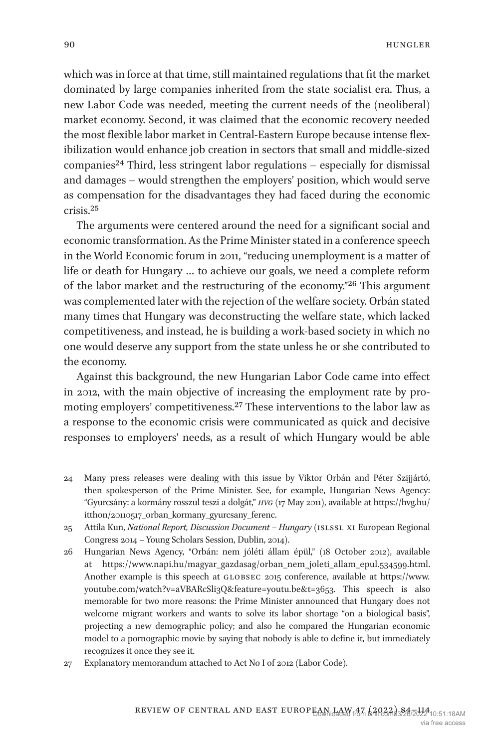which was in force at that time, still maintained regulations that fit the market dominated by large companies inherited from the state socialist era. Thus, a new Labor Code was needed, meeting the current needs of the (neoliberal) market economy. Second, it was claimed that the economic recovery needed the most flexible labor market in Central-Eastern Europe because intense flexibilization would enhance job creation in sectors that small and middle-sized  $companies<sup>24</sup> Third, less stringent labor regulations – especially for dismissed$  $companies<sup>24</sup> Third, less stringent labor regulations – especially for dismissed$  $companies<sup>24</sup> Third, less stringent labor regulations – especially for dismissed$ and damages – would strengthen the employers' position, which would serve as compensation for the disadvantages they had faced during the economic crisis[.25](#page-6-1)

The arguments were centered around the need for a significant social and economic transformation. As the Prime Minister stated in a conference speech in the World Economic forum in 2011, "reducing unemployment is a matter of life or death for Hungary … to achieve our goals, we need a complete reform of the labor market and the restructuring of the economy."[26](#page-6-2) This argument was complemented later with the rejection of the welfare society. Orbán stated many times that Hungary was deconstructing the welfare state, which lacked competitiveness, and instead, he is building a work-based society in which no one would deserve any support from the state unless he or she contributed to the economy.

Against this background, the new Hungarian Labor Code came into effect in 2012, with the main objective of increasing the employment rate by promoting employers' competitiveness.[27](#page-6-3) These interventions to the labor law as a response to the economic crisis were communicated as quick and decisive responses to employers' needs, as a result of which Hungary would be able

<span id="page-6-0"></span><sup>24</sup> Many press releases were dealing with this issue by Viktor Orbán and Péter Szijjártó, then spokesperson of the Prime Minister. See, for example, Hungarian News Agency: "Gyurcsány: a kormány rosszul teszi a dolgát," *hvg* (17 May 2011), available at [https://hvg.hu/](https://hvg.hu/itthon/20110517_orban_kormany_gyurcsany_ferenc) [itthon/20110517\\_orban\\_kormany\\_gyurcsany\\_ferenc.](https://hvg.hu/itthon/20110517_orban_kormany_gyurcsany_ferenc)

<span id="page-6-1"></span><sup>25</sup> Attila Kun, *National Report, Discussion Document – Hungary* (islssl xi European Regional Congress 2014 − Young Scholars Session, Dublin, 2014).

<span id="page-6-2"></span><sup>26</sup> Hungarian News Agency, "Orbán: nem jóléti állam épül," (18 October 2012), available at [https://www.napi.hu/magyar\\_gazdasag/orban\\_nem\\_joleti\\_allam\\_epul.534599.html](https://www.napi.hu/magyar_gazdasag/orban_nem_joleti_allam_epul.534599.html). Another example is this speech at GLOBSEC 2015 conference, available at [https://www.](https://www.youtube.com/watch?v=aVBARcSli3Q&feature=youtu.be&t=3653) [youtube.com/watch?v=aVBARcSli3Q&feature=youtu.be&t=3653.](https://www.youtube.com/watch?v=aVBARcSli3Q&feature=youtu.be&t=3653) This speech is also memorable for two more reasons: the Prime Minister announced that Hungary does not welcome migrant workers and wants to solve its labor shortage "on a biological basis", projecting a new demographic policy; and also he compared the Hungarian economic model to a pornographic movie by saying that nobody is able to define it, but immediately recognizes it once they see it.

<span id="page-6-3"></span><sup>27</sup> Explanatory memorandum attached to Act No I of 2012 (Labor Code).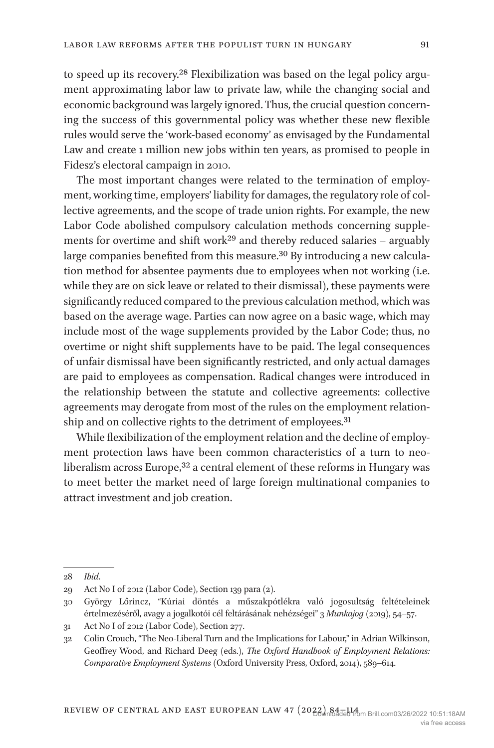to speed up its recovery[.28](#page-7-0) Flexibilization was based on the legal policy argument approximating labor law to private law, while the changing social and economic background was largely ignored. Thus, the crucial question concerning the success of this governmental policy was whether these new flexible rules would serve the 'work-based economy' as envisaged by the Fundamental Law and create 1 million new jobs within ten years, as promised to people in Fidesz's electoral campaign in 2010.

The most important changes were related to the termination of employment, working time, employers' liability for damages, the regulatory role of collective agreements, and the scope of trade union rights. For example, the new Labor Code abolished compulsory calculation methods concerning supplements for overtime and shift work<sup>29</sup> and thereby reduced salaries – arguably large companies benefited from this measure.<sup>30</sup> By introducing a new calculation method for absentee payments due to employees when not working (i.e. while they are on sick leave or related to their dismissal), these payments were significantly reduced compared to the previous calculation method, which was based on the average wage. Parties can now agree on a basic wage, which may include most of the wage supplements provided by the Labor Code; thus, no overtime or night shift supplements have to be paid. The legal consequences of unfair dismissal have been significantly restricted, and only actual damages are paid to employees as compensation. Radical changes were introduced in the relationship between the statute and collective agreements: collective agreements may derogate from most of the rules on the employment relation-ship and on collective rights to the detriment of employees.<sup>[31](#page-7-3)</sup>

While flexibilization of the employment relation and the decline of employment protection laws have been common characteristics of a turn to neo-liberalism across Europe,<sup>[32](#page-7-4)</sup> a central element of these reforms in Hungary was to meet better the market need of large foreign multinational companies to attract investment and job creation.

<span id="page-7-0"></span><sup>28</sup> *Ibid*.

<span id="page-7-1"></span><sup>29</sup> Act No I of 2012 (Labor Code), Section 139 para (2).

<span id="page-7-2"></span><sup>30</sup> György Lőrincz, "Kúriai döntés a műszakpótlékra való jogosultság feltételeinek értelmezéséről, avagy a jogalkotói cél feltárásának nehézségei" 3 *Munkajog* (2019), 54–57.

<span id="page-7-3"></span><sup>31</sup> Act No I of 2012 (Labor Code), Section 277.

<span id="page-7-4"></span><sup>32</sup> Colin Crouch, "The Neo-Liberal Turn and the Implications for Labour," in Adrian Wilkinson, Geoffrey Wood, and Richard Deeg (eds.), *The Oxford Handbook of Employment Relations: Comparative Employment Systems* (Oxford University Press, Oxford, 2014), 589–614.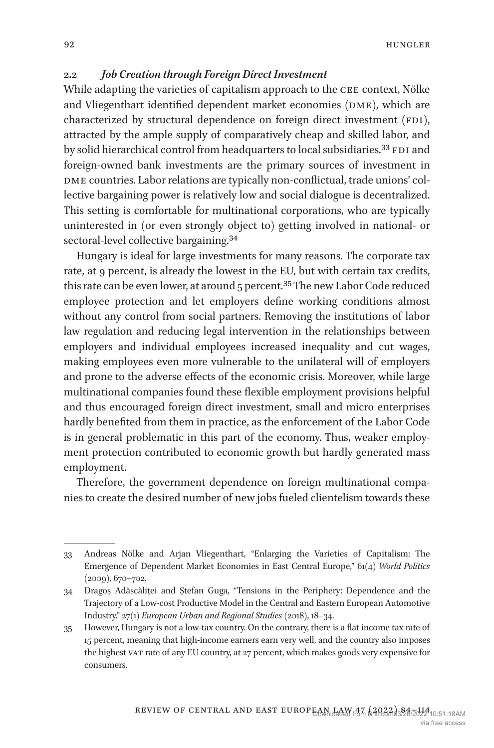## **2.2** *Job Creation through Foreign Direct Investment*

While adapting the varieties of capitalism approach to the CEE context, Nölke and Vliegenthart identified dependent market economies (DME), which are characterized by structural dependence on foreign direct investment  $(FDI)$ , attracted by the ample supply of comparatively cheap and skilled labor, and by solid hierarchical control from headquarters to local subsidiaries.<sup>33</sup> FDI and foreign-owned bank investments are the primary sources of investment in DME countries. Labor relations are typically non-conflictual, trade unions' collective bargaining power is relatively low and social dialogue is decentralized. This setting is comfortable for multinational corporations, who are typically uninterested in (or even strongly object to) getting involved in national- or sectoral-level collective bargaining.<sup>[34](#page-8-1)</sup>

Hungary is ideal for large investments for many reasons. The corporate tax rate, at 9 percent, is already the lowest in the EU, but with certain tax credits, this rate can be even lower, at around 5 percent.<sup>35</sup> The new Labor Code reduced employee protection and let employers define working conditions almost without any control from social partners. Removing the institutions of labor law regulation and reducing legal intervention in the relationships between employers and individual employees increased inequality and cut wages, making employees even more vulnerable to the unilateral will of employers and prone to the adverse effects of the economic crisis. Moreover, while large multinational companies found these flexible employment provisions helpful and thus encouraged foreign direct investment, small and micro enterprises hardly benefited from them in practice, as the enforcement of the Labor Code is in general problematic in this part of the economy. Thus, weaker employment protection contributed to economic growth but hardly generated mass employment.

Therefore, the government dependence on foreign multinational companies to create the desired number of new jobs fueled clientelism towards these

<span id="page-8-0"></span><sup>33</sup> Andreas Nölke and Arjan Vliegenthart, "Enlarging the Varieties of Capitalism: The Emergence of Dependent Market Economies in East Central Europe," 61(4) *World Politics* (2009), 670–702.

<span id="page-8-1"></span><sup>34</sup> Dragoș Adăscăliței and Ștefan Guga, "Tensions in the Periphery: Dependence and the Trajectory of a Low-cost Productive Model in the Central and Eastern European Automotive Industry." 27(1) *European Urban and Regional Studies* (2018), 18–34.

<span id="page-8-2"></span><sup>35</sup> However, Hungary is not a low-tax country. On the contrary, there is a flat income tax rate of 15 percent, meaning that high-income earners earn very well, and the country also imposes the highest vat rate of any EU country, at 27 percent, which makes goods very expensive for consumers.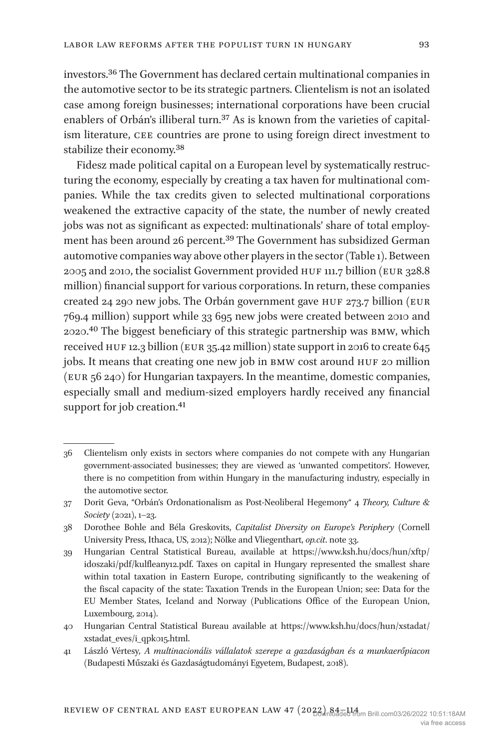investors[.36](#page-9-0) The Government has declared certain multinational companies in the automotive sector to be its strategic partners. Clientelism is not an isolated case among foreign businesses; international corporations have been crucial enablers of Orbán's illiberal turn.<sup>[37](#page-9-1)</sup> As is known from the varieties of capitalism literature, cee countries are prone to using foreign direct investment to stabilize their economy[.38](#page-9-2)

Fidesz made political capital on a European level by systematically restructuring the economy, especially by creating a tax haven for multinational companies. While the tax credits given to selected multinational corporations weakened the extractive capacity of the state, the number of newly created jobs was not as significant as expected: multinationals' share of total employment has been around 26 percent.[39](#page-9-3) The Government has subsidized German automotive companies way above other players in the sector ([Table 1\)](#page-10-0). Between 2005 and 2010, the socialist Government provided huf 111.7 billion (eur 328.8 million) financial support for various corporations. In return, these companies created 24 290 new jobs. The Orbán government gave huf 273.7 billion (eur 769.4 million) support while 33 695 new jobs were created between 2010 and 2020[.40](#page-9-4) The biggest beneficiary of this strategic partnership was bmw, which received HUF 12.3 billion (EUR 35.42 million) state support in 2016 to create 645 jobs. It means that creating one new job in BMW cost around HUF 20 million (eur 56 240) for Hungarian taxpayers. In the meantime, domestic companies, especially small and medium-sized employers hardly received any financial support for job creation.<sup>[41](#page-9-5)</sup>

<span id="page-9-0"></span><sup>36</sup> Clientelism only exists in sectors where companies do not compete with any Hungarian government-associated businesses; they are viewed as 'unwanted competitors'. However, there is no competition from within Hungary in the manufacturing industry, especially in the automotive sector.

<span id="page-9-1"></span><sup>37</sup> Dorit Geva, "Orbán's Ordonationalism as Post-Neoliberal Hegemony" 4 *Theory, Culture & Society* (2021), 1–23.

<span id="page-9-2"></span><sup>38</sup> Dorothee Bohle and Béla Greskovits, *Capitalist Diversity on Europe's Periphery* (Cornell University Press, Ithaca, US, 2012); Nölke and Vliegenthart, *op.cit*. note 33.

<span id="page-9-3"></span><sup>39</sup> Hungarian Central Statistical Bureau, available at [https://www.ksh.hu/docs/hun/xftp/](https://www.ksh.hu/docs/hun/xftp/idoszaki/pdf/kulfleany12.pdf) [idoszaki/pdf/kulfleany12.pdf](https://www.ksh.hu/docs/hun/xftp/idoszaki/pdf/kulfleany12.pdf). Taxes on capital in Hungary represented the smallest share within total taxation in Eastern Europe, contributing significantly to the weakening of the fiscal capacity of the state: Taxation Trends in the European Union; see: Data for the EU Member States, Iceland and Norway (Publications Office of the European Union, Luxembourg, 2014).

<span id="page-9-4"></span><sup>40</sup> Hungarian Central Statistical Bureau available at [https://www.ksh.hu/docs/hun/xstadat/](https://www.ksh.hu/docs/hun/xstadat/xstadat_eves/i_qpk015.html) [xstadat\\_eves/i\\_qpk015.html](https://www.ksh.hu/docs/hun/xstadat/xstadat_eves/i_qpk015.html).

<span id="page-9-5"></span><sup>41</sup> László Vértesy*, A multinacionális vállalatok szerepe a gazdaságban és a munkaerőpiacon* (Budapesti Műszaki és Gazdaságtudományi Egyetem, Budapest, 2018).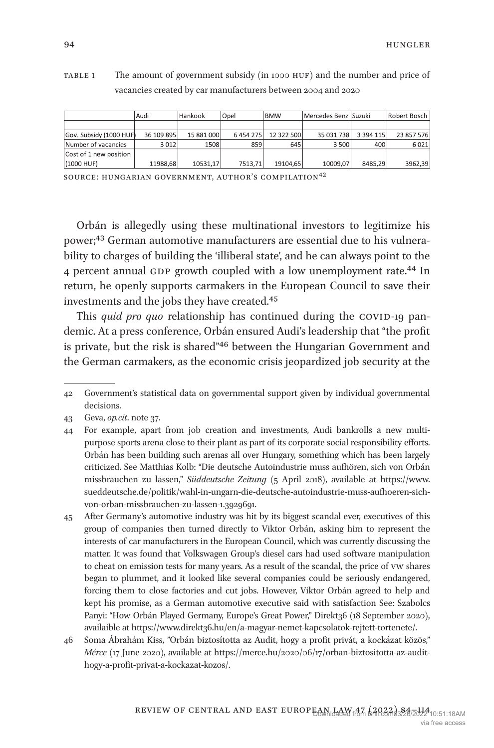<span id="page-10-0"></span>TABLE 1 The amount of government subsidy (in 1000 HUF) and the number and price of vacancies created by car manufacturers between 2004 and 2020

|                         | Audi       | Hankook    | Opel    | <b>BMW</b> | Mercedes Benz Suzuki |               | Robert Bosch |
|-------------------------|------------|------------|---------|------------|----------------------|---------------|--------------|
|                         |            |            |         |            |                      |               |              |
| Gov. Subsidy (1000 HUF) | 36 109 895 | 15 881 000 | 6454275 | 12 322 500 | 35 031 738           | 3 3 9 4 1 1 5 | 23 857 576   |
| Number of vacancies     | 3012       | 1508       | 859     | 645        | 3 500                | 400           | 6021         |
| Cost of 1 new position  |            |            |         |            |                      |               |              |
| (1000 HUF)              | 11988.68   | 10531.17   | 7513.71 | 19104.65   | 10009.07             | 8485.29       | 3962,39      |

source: hungarian government, author's compilation[42](#page-10-5)

Orbán is allegedly using these multinational investors to legitimize his power[;43](#page-10-1) German automotive manufacturers are essential due to his vulnerability to charges of building the 'illiberal state', and he can always point to the 4 percent annual GDP growth coupled with a low unemployment rate.<sup>44</sup> In return, he openly supports carmakers in the European Council to save their investments and the jobs they have created.[45](#page-10-3)

This *quid pro quo* relationship has continued during the COVID-19 pandemic. At a press conference, Orbán ensured Audi's leadership that "the profit is private, but the risk is shared["46](#page-10-4) between the Hungarian Government and the German carmakers, as the economic crisis jeopardized job security at the

<span id="page-10-5"></span><sup>42</sup> Government's statistical data on governmental support given by individual governmental decisions.

<span id="page-10-1"></span><sup>43</sup> Geva, *op.cit*. note 37.

<span id="page-10-2"></span><sup>44</sup> For example, apart from job creation and investments, Audi bankrolls a new multipurpose sports arena close to their plant as part of its corporate social responsibility efforts. Orbán has been building such arenas all over Hungary, something which has been largely criticized. See Matthias Kolb: "Die deutsche Autoindustrie muss aufhören, sich von Orbán missbrauchen zu lassen," *Süddeutsche Zeitung* (5 April 2018), available at [https://www.](https://www.sueddeutsche.de/politik/wahl-in-ungarn-die-deutsche-autoindustrie-muss-aufhoeren-sich-von-orban-missbrauchen-zu-lassen-1.3929691) [sueddeutsche.de/politik/wahl-in-ungarn-die-deutsche-autoindustrie-muss-aufhoeren-sich](https://www.sueddeutsche.de/politik/wahl-in-ungarn-die-deutsche-autoindustrie-muss-aufhoeren-sich-von-orban-missbrauchen-zu-lassen-1.3929691)[von-orban-missbrauchen-zu-lassen-1.3929691.](https://www.sueddeutsche.de/politik/wahl-in-ungarn-die-deutsche-autoindustrie-muss-aufhoeren-sich-von-orban-missbrauchen-zu-lassen-1.3929691)

<span id="page-10-3"></span><sup>45</sup> After Germany's automotive industry was hit by its biggest scandal ever, executives of this group of companies then turned directly to Viktor Orbán, asking him to represent the interests of car manufacturers in the European Council, which was currently discussing the matter. It was found that Volkswagen Group's diesel cars had used software manipulation to cheat on emission tests for many years. As a result of the scandal, the price of vw shares began to plummet, and it looked like several companies could be seriously endangered, forcing them to close factories and cut jobs. However, Viktor Orbán agreed to help and kept his promise, as a German automotive executive said with satisfaction See: Szabolcs Panyi: "How Orbán Played Germany, Europe's Great Power," Direkt36 (18 September 2020), availaible at [https://www.direkt36.hu/en/a-magyar-nemet-kapcsolatok-rejtett-tortenete/.](https://www.direkt36.hu/en/a-magyar-nemet-kapcsolatok-rejtett-tortenete/)

<span id="page-10-4"></span><sup>46</sup> Soma Ábrahám Kiss, "Orbán biztosította az Audit, hogy a profit privát, a kockázat közös," *Mérce* (17 June 2020), available at [https://merce.hu/2020/06/17/orban-biztositotta-az-audit](https://merce.hu/2020/06/17/orban-biztositotta-az-audit-hogy-a-profit-privat-a-kockazat-kozos/)[hogy-a-profit-privat-a-kockazat-kozos/](https://merce.hu/2020/06/17/orban-biztositotta-az-audit-hogy-a-profit-privat-a-kockazat-kozos/).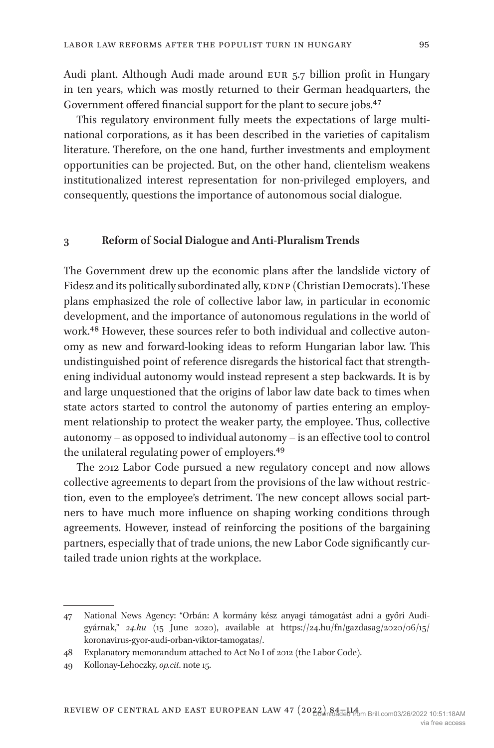Audi plant. Although Audi made around eur 5.7 billion profit in Hungary in ten years, which was mostly returned to their German headquarters, the Government offered financial support for the plant to secure jobs.[47](#page-11-0)

This regulatory environment fully meets the expectations of large multinational corporations, as it has been described in the varieties of capitalism literature. Therefore, on the one hand, further investments and employment opportunities can be projected. But, on the other hand, clientelism weakens institutionalized interest representation for non-privileged employers, and consequently, questions the importance of autonomous social dialogue.

#### **3 Reform of Social Dialogue and Anti-Pluralism Trends**

The Government drew up the economic plans after the landslide victory of Fidesz and its politically subordinated ally, KDNP (Christian Democrats). These plans emphasized the role of collective labor law, in particular in economic development, and the importance of autonomous regulations in the world of work[.48](#page-11-1) However, these sources refer to both individual and collective autonomy as new and forward-looking ideas to reform Hungarian labor law. This undistinguished point of reference disregards the historical fact that strengthening individual autonomy would instead represent a step backwards. It is by and large unquestioned that the origins of labor law date back to times when state actors started to control the autonomy of parties entering an employment relationship to protect the weaker party, the employee. Thus, collective autonomy – as opposed to individual autonomy – is an effective tool to control the unilateral regulating power of employers[.49](#page-11-2)

The 2012 Labor Code pursued a new regulatory concept and now allows collective agreements to depart from the provisions of the law without restriction, even to the employee's detriment. The new concept allows social partners to have much more influence on shaping working conditions through agreements. However, instead of reinforcing the positions of the bargaining partners, especially that of trade unions, the new Labor Code significantly curtailed trade union rights at the workplace.

<span id="page-11-0"></span><sup>47</sup> National News Agency: "Orbán: A kormány kész anyagi támogatást adni a győri Audigyárnak," *24.hu* (15 June 2020), available at [https://24.hu/fn/gazdasag/2020/06/15/](https://24.hu/fn/gazdasag/2020/06/15/koronavirus-gyor-audi-orban-viktor-tamogatas/) [koronavirus-gyor-audi-orban-viktor-tamogatas/](https://24.hu/fn/gazdasag/2020/06/15/koronavirus-gyor-audi-orban-viktor-tamogatas/).

<span id="page-11-1"></span><sup>48</sup> Explanatory memorandum attached to Act No I of 2012 (the Labor Code).

<span id="page-11-2"></span><sup>49</sup> Kollonay-Lehoczky, *op.cit*. note 15.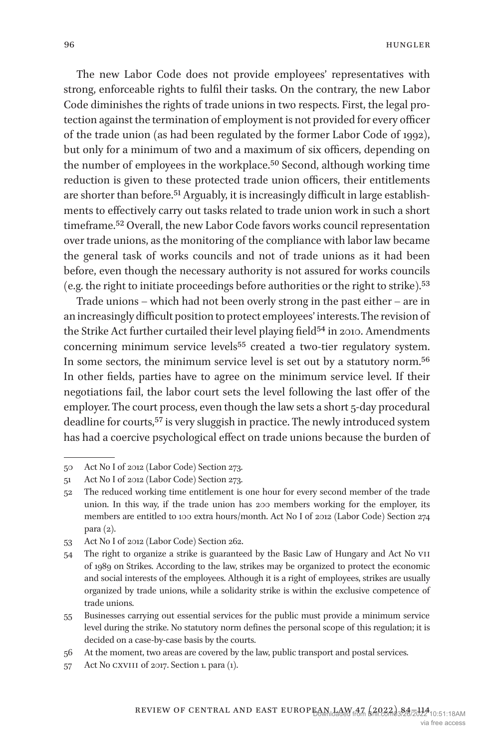The new Labor Code does not provide employees' representatives with strong, enforceable rights to fulfil their tasks. On the contrary, the new Labor Code diminishes the rights of trade unions in two respects. First, the legal protection against the termination of employment is not provided for every officer of the trade union (as had been regulated by the former Labor Code of 1992), but only for a minimum of two and a maximum of six officers, depending on the number of employees in the workplace[.50](#page-12-0) Second, although working time reduction is given to these protected trade union officers, their entitlements are shorter than before.<sup>51</sup> Arguably, it is increasingly difficult in large establishments to effectively carry out tasks related to trade union work in such a short timeframe.[52](#page-12-2) Overall, the new Labor Code favors works council representation over trade unions, as the monitoring of the compliance with labor law became the general task of works councils and not of trade unions as it had been before, even though the necessary authority is not assured for works councils (e.g. the right to initiate proceedings before authorities or the right to strike)[.53](#page-12-3)

Trade unions – which had not been overly strong in the past either – are in an increasingly difficult position to protect employees' interests. The revision of the Strike Act further curtailed their level playing field<sup>54</sup> in 2010. Amendments concerning minimum service levels<sup>55</sup> created a two-tier regulatory system. In some sectors, the minimum service level is set out by a statutory norm.[56](#page-12-6) In other fields, parties have to agree on the minimum service level. If their negotiations fail, the labor court sets the level following the last offer of the employer. The court process, even though the law sets a short 5-day procedural deadline for courts,[57](#page-12-7) is very sluggish in practice. The newly introduced system has had a coercive psychological effect on trade unions because the burden of

<span id="page-12-0"></span><sup>50</sup> Act No I of 2012 (Labor Code) Section 273.

<span id="page-12-1"></span><sup>51</sup> Act No I of 2012 (Labor Code) Section 273.

<span id="page-12-2"></span><sup>52</sup> The reduced working time entitlement is one hour for every second member of the trade union. In this way, if the trade union has 200 members working for the employer, its members are entitled to 100 extra hours/month. Act No I of 2012 (Labor Code) Section 274 para (2).

<span id="page-12-3"></span><sup>53</sup> Act No I of 2012 (Labor Code) Section 262.

<span id="page-12-4"></span><sup>54</sup> The right to organize a strike is guaranteed by the Basic Law of Hungary and Act No vii of 1989 on Strikes. According to the law, strikes may be organized to protect the economic and social interests of the employees. Although it is a right of employees, strikes are usually organized by trade unions, while a solidarity strike is within the exclusive competence of trade unions.

<span id="page-12-5"></span><sup>55</sup> Businesses carrying out essential services for the public must provide a minimum service level during the strike. No statutory norm defines the personal scope of this regulation; it is decided on a case-by-case basis by the courts.

<span id="page-12-6"></span><sup>56</sup> At the moment, two areas are covered by the law, public transport and postal services.

<span id="page-12-7"></span><sup>57</sup> Act No CXVIII of 2017. Section 1. para (1).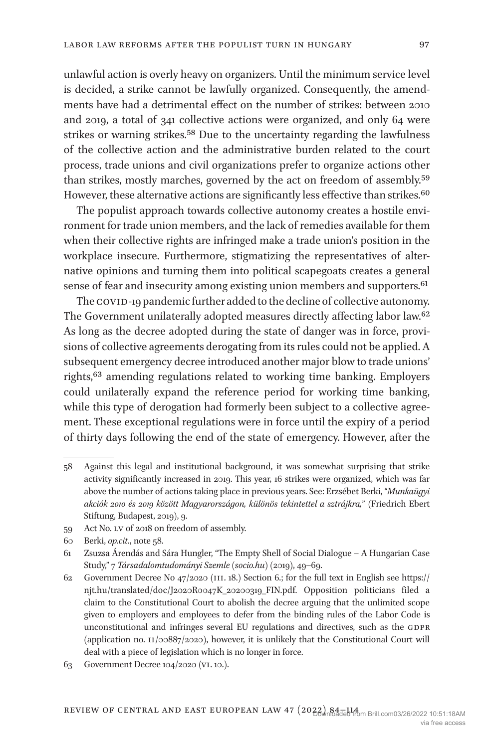unlawful action is overly heavy on organizers. Until the minimum service level is decided, a strike cannot be lawfully organized. Consequently, the amendments have had a detrimental effect on the number of strikes: between 2010 and 2019, a total of 341 collective actions were organized, and only 64 were strikes or warning strikes.<sup>58</sup> Due to the uncertainty regarding the lawfulness of the collective action and the administrative burden related to the court process, trade unions and civil organizations prefer to organize actions other than strikes, mostly marches, governed by the act on freedom of assembly.[59](#page-13-1) However, these alternative actions are significantly less effective than strikes.<sup>60</sup>

The populist approach towards collective autonomy creates a hostile environment for trade union members, and the lack of remedies available for them when their collective rights are infringed make a trade union's position in the workplace insecure. Furthermore, stigmatizing the representatives of alternative opinions and turning them into political scapegoats creates a general sense of fear and insecurity among existing union members and supporters.<sup>61</sup>

The COVID-19 pandemic further added to the decline of collective autonomy. The Government unilaterally adopted measures directly affecting labor law.[62](#page-13-4) As long as the decree adopted during the state of danger was in force, provisions of collective agreements derogating from its rules could not be applied. A subsequent emergency decree introduced another major blow to trade unions' rights,[63](#page-13-5) amending regulations related to working time banking. Employers could unilaterally expand the reference period for working time banking, while this type of derogation had formerly been subject to a collective agreement. These exceptional regulations were in force until the expiry of a period of thirty days following the end of the state of emergency. However, after the

<span id="page-13-1"></span>59 Act No. lv of 2018 on freedom of assembly.

<span id="page-13-0"></span><sup>58</sup> Against this legal and institutional background, it was somewhat surprising that strike activity significantly increased in 2019. This year, 16 strikes were organized, which was far above the number of actions taking place in previous years. See: Erzsébet Berki, "*Munkaügyi akciók 2010 és 2019 között Magyarországon, különös tekintettel a sztrájkra,*" (Friedrich Ebert Stiftung, Budapest, 2019), 9.

<span id="page-13-2"></span><sup>60</sup> Berki, *op.cit*., note 58.

<span id="page-13-3"></span><sup>61</sup> Zsuzsa Árendás and Sára Hungler, "The Empty Shell of Social Dialogue – A Hungarian Case Study," 7 *Társadalomtudományi Szemle (socio.hu)* (2019), 49–69.

<span id="page-13-4"></span><sup>62</sup> Government Decree No  $47/2020$  (III. 18.) Section 6.; for the full text in English see [https://](https://njt.hu/translated/doc/J2020R0047K_20200319_FIN.pdf) [njt.hu/translated/doc/J2020R0047K\\_20200319\\_FIN.pdf.](https://njt.hu/translated/doc/J2020R0047K_20200319_FIN.pdf) Opposition politicians filed a claim to the Constitutional Court to abolish the decree arguing that the unlimited scope given to employers and employees to defer from the binding rules of the Labor Code is unconstitutional and infringes several EU regulations and directives, such as the GDPR (application no. ii/00887/2020), however, it is unlikely that the Constitutional Court will deal with a piece of legislation which is no longer in force.

<span id="page-13-5"></span><sup>63</sup> Government Decree 104/2020 (vi. 10.).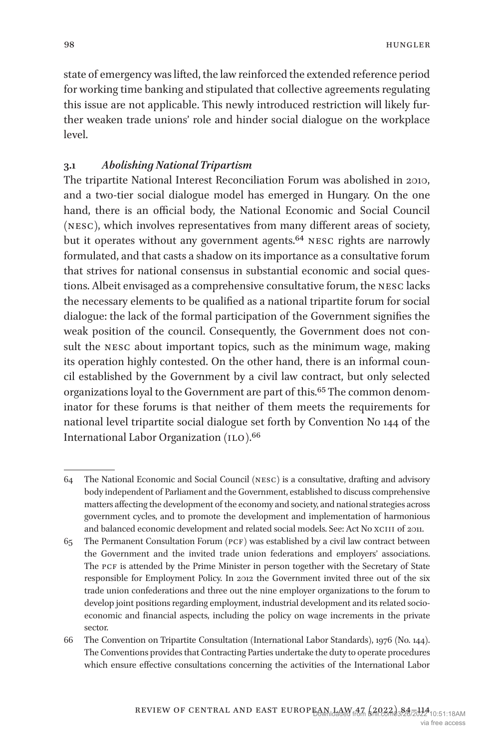state of emergency was lifted, the law reinforced the extended reference period for working time banking and stipulated that collective agreements regulating this issue are not applicable. This newly introduced restriction will likely further weaken trade unions' role and hinder social dialogue on the workplace level.

#### **3.1** *Abolishing National Tripartism*

The tripartite National Interest Reconciliation Forum was abolished in 2010, and a two-tier social dialogue model has emerged in Hungary. On the one hand, there is an official body, the National Economic and Social Council (nesc), which involves representatives from many different areas of society, but it operates without any government agents.<sup>[64](#page-14-0)</sup> NESC rights are narrowly formulated, and that casts a shadow on its importance as a consultative forum that strives for national consensus in substantial economic and social questions. Albeit envisaged as a comprehensive consultative forum, the nesc lacks the necessary elements to be qualified as a national tripartite forum for social dialogue: the lack of the formal participation of the Government signifies the weak position of the council. Consequently, the Government does not consult the nesc about important topics, such as the minimum wage, making its operation highly contested. On the other hand, there is an informal council established by the Government by a civil law contract, but only selected organizations loyal to the Government are part of this.<sup>65</sup> The common denominator for these forums is that neither of them meets the requirements for national level tripartite social dialogue set forth by Convention No 144 of the International Labor Organization (ILO).<sup>66</sup>

<span id="page-14-0"></span><sup>64</sup> The National Economic and Social Council (nesc) is a consultative, drafting and advisory body independent of Parliament and the Government, established to discuss comprehensive matters affecting the development of the economy and society, and national strategies across government cycles, and to promote the development and implementation of harmonious and balanced economic development and related social models. See: Act No XCIII of 2011.

<span id="page-14-1"></span><sup>65</sup> The Permanent Consultation Forum (pcf) was established by a civil law contract between the Government and the invited trade union federations and employers' associations. The PCF is attended by the Prime Minister in person together with the Secretary of State responsible for Employment Policy. In 2012 the Government invited three out of the six trade union confederations and three out the nine employer organizations to the forum to develop joint positions regarding employment, industrial development and its related socioeconomic and financial aspects, including the policy on wage increments in the private sector.

<span id="page-14-2"></span><sup>66</sup> The Convention on Tripartite Consultation (International Labor Standards), 1976 (No. 144). The Conventions provides that Contracting Parties undertake the duty to operate procedures which ensure effective consultations concerning the activities of the International Labor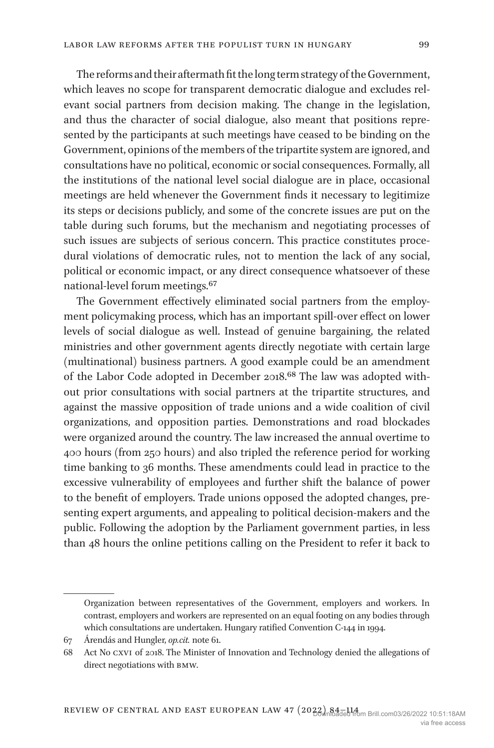The reforms and their aftermath fit the long term strategy of the Government, which leaves no scope for transparent democratic dialogue and excludes relevant social partners from decision making. The change in the legislation, and thus the character of social dialogue, also meant that positions represented by the participants at such meetings have ceased to be binding on the Government, opinions of the members of the tripartite system are ignored, and consultations have no political, economic or social consequences. Formally, all the institutions of the national level social dialogue are in place, occasional meetings are held whenever the Government finds it necessary to legitimize its steps or decisions publicly, and some of the concrete issues are put on the table during such forums, but the mechanism and negotiating processes of such issues are subjects of serious concern. This practice constitutes procedural violations of democratic rules, not to mention the lack of any social, political or economic impact, or any direct consequence whatsoever of these national-level forum meetings.[67](#page-15-0)

The Government effectively eliminated social partners from the employment policymaking process, which has an important spill-over effect on lower levels of social dialogue as well. Instead of genuine bargaining, the related ministries and other government agents directly negotiate with certain large (multinational) business partners. A good example could be an amendment of the Labor Code adopted in December 2018.[68](#page-15-1) The law was adopted without prior consultations with social partners at the tripartite structures, and against the massive opposition of trade unions and a wide coalition of civil organizations, and opposition parties. Demonstrations and road blockades were organized around the country. The law increased the annual overtime to 400 hours (from 250 hours) and also tripled the reference period for working time banking to 36 months. These amendments could lead in practice to the excessive vulnerability of employees and further shift the balance of power to the benefit of employers. Trade unions opposed the adopted changes, presenting expert arguments, and appealing to political decision-makers and the public. Following the adoption by the Parliament government parties, in less than 48 hours the online petitions calling on the President to refer it back to

Organization between representatives of the Government, employers and workers. In contrast, employers and workers are represented on an equal footing on any bodies through which consultations are undertaken. Hungary ratified Convention C-144 in 1994.

<span id="page-15-0"></span><sup>67</sup> Árendás and Hungler, *op.cit.* note 61.

<span id="page-15-1"></span><sup>68</sup> Act No cxvi of 2018. The Minister of Innovation and Technology denied the allegations of direct negotiations with bmw.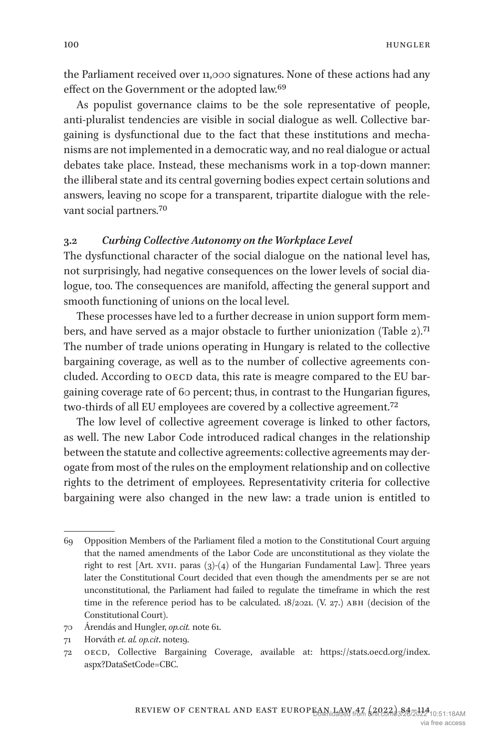the Parliament received over 11,000 signatures. None of these actions had any effect on the Government or the adopted law.<sup>[69](#page-16-0)</sup>

As populist governance claims to be the sole representative of people, anti-pluralist tendencies are visible in social dialogue as well. Collective bargaining is dysfunctional due to the fact that these institutions and mechanisms are not implemented in a democratic way, and no real dialogue or actual debates take place. Instead, these mechanisms work in a top-down manner: the illiberal state and its central governing bodies expect certain solutions and answers, leaving no scope for a transparent, tripartite dialogue with the relevant social partners[.70](#page-16-1)

## **3.2** *Curbing Collective Autonomy on the Workplace Level*

The dysfunctional character of the social dialogue on the national level has, not surprisingly, had negative consequences on the lower levels of social dialogue, too. The consequences are manifold, affecting the general support and smooth functioning of unions on the local level.

These processes have led to a further decrease in union support form members, and have served as a major obstacle to further unionization [\(Table 2\)](#page-17-0)[.71](#page-16-2) The number of trade unions operating in Hungary is related to the collective bargaining coverage, as well as to the number of collective agreements concluded. According to OECD data, this rate is meagre compared to the EU bargaining coverage rate of 60 percent; thus, in contrast to the Hungarian figures, two-thirds of all EU employees are covered by a collective agreement[.72](#page-16-3)

The low level of collective agreement coverage is linked to other factors, as well. The new Labor Code introduced radical changes in the relationship between the statute and collective agreements: collective agreements may derogate from most of the rules on the employment relationship and on collective rights to the detriment of employees. Representativity criteria for collective bargaining were also changed in the new law: a trade union is entitled to

<span id="page-16-0"></span><sup>69</sup> Opposition Members of the Parliament filed a motion to the Constitutional Court arguing that the named amendments of the Labor Code are unconstitutional as they violate the right to rest  $[Art. xvi. paras (3)-(4) of the Hungarian Fundamental Law].$  Three years later the Constitutional Court decided that even though the amendments per se are not unconstitutional, the Parliament had failed to regulate the timeframe in which the rest time in the reference period has to be calculated.  $18/2021$ . (V. 27.) ABH (decision of the Constitutional Court).

<span id="page-16-1"></span><sup>70</sup> Árendás and Hungler, *op.cit.* note 61.

<span id="page-16-2"></span><sup>71</sup> Horváth *et. al. op.cit*. note19.

<span id="page-16-3"></span><sup>72</sup> oecd, Collective Bargaining Coverage, available at: [https://stats.oecd.org/index.](https://stats.oecd.org/index.aspx?DataSetCode=CBC) [aspx?DataSetCode=CBC.](https://stats.oecd.org/index.aspx?DataSetCode=CBC)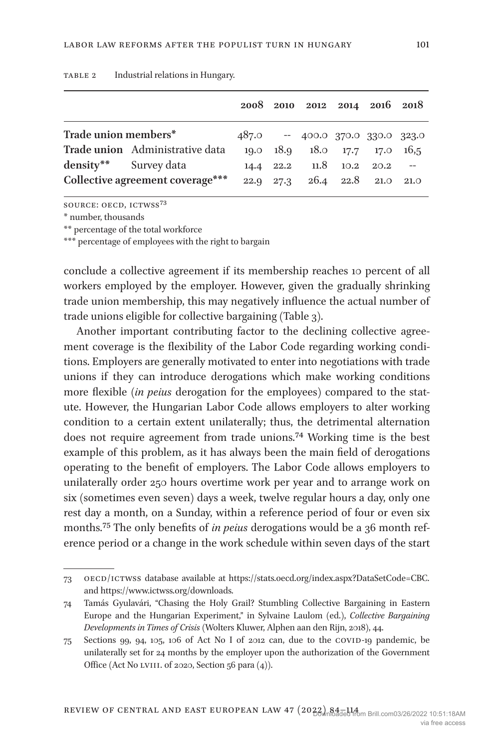|                                  |                                 |      |           | 2008 2010 2012 2014 2016 2018    |                        |      |
|----------------------------------|---------------------------------|------|-----------|----------------------------------|------------------------|------|
| Trade union members*             |                                 |      |           | 487.0 -- 400.0 370.0 330.0 323.0 |                        |      |
|                                  | Trade union Administrative data |      |           | 19.0 18.9 18.0 17.7 17.0 16,5    |                        |      |
| density** Survey data            |                                 |      | 14.4 22.2 |                                  | $11.8$ $10.2$ $20.2$ - |      |
| Collective agreement coverage*** |                                 | 22.9 | 27.3      |                                  | 26.4 22.8 21.0         | 21.0 |

<span id="page-17-0"></span>TABLE 2 Industrial relations in Hungary.

source: oecd, ictwss[73](#page-17-3)

\* number, thousands

\*\* percentage of the total workforce

\*\*\* percentage of employees with the right to bargain

conclude a collective agreement if its membership reaches 10 percent of all workers employed by the employer. However, given the gradually shrinking trade union membership, this may negatively influence the actual number of trade unions eligible for collective bargaining [\(Table 3\)](#page-18-0).

Another important contributing factor to the declining collective agreement coverage is the flexibility of the Labor Code regarding working conditions. Employers are generally motivated to enter into negotiations with trade unions if they can introduce derogations which make working conditions more flexible (*in peius* derogation for the employees) compared to the statute. However, the Hungarian Labor Code allows employers to alter working condition to a certain extent unilaterally; thus, the detrimental alternation does not require agreement from trade unions.[74](#page-17-1) Working time is the best example of this problem, as it has always been the main field of derogations operating to the benefit of employers. The Labor Code allows employers to unilaterally order 250 hours overtime work per year and to arrange work on six (sometimes even seven) days a week, twelve regular hours a day, only one rest day a month, on a Sunday, within a reference period of four or even six months[.75](#page-17-2) The only benefits of *in peius* derogations would be a 36 month reference period or a change in the work schedule within seven days of the start

<span id="page-17-3"></span><sup>73</sup> oecd/ictwss database available at [https://stats.oecd.org/index.aspx?DataSetCode=CBC.](https://stats.oecd.org/index.aspx?DataSetCode=CBC) and [https://www.ictwss.org/downloads.](https://www.ictwss.org/downloads)

<span id="page-17-1"></span><sup>74</sup> Tamás Gyulavári, "Chasing the Holy Grail? Stumbling Collective Bargaining in Eastern Europe and the Hungarian Experiment," in Sylvaine Laulom (ed.), *Collective Bargaining Developments in Times of Crisis* (Wolters Kluwer, Alphen aan den Rijn, 2018), 44.

<span id="page-17-2"></span><sup>75</sup> Sections 99, 94, 105, 106 of Act No I of 2012 can, due to the COVID-19 pandemic, be unilaterally set for 24 months by the employer upon the authorization of the Government Office (Act No LVIII. of 2020, Section 56 para  $(4)$ ).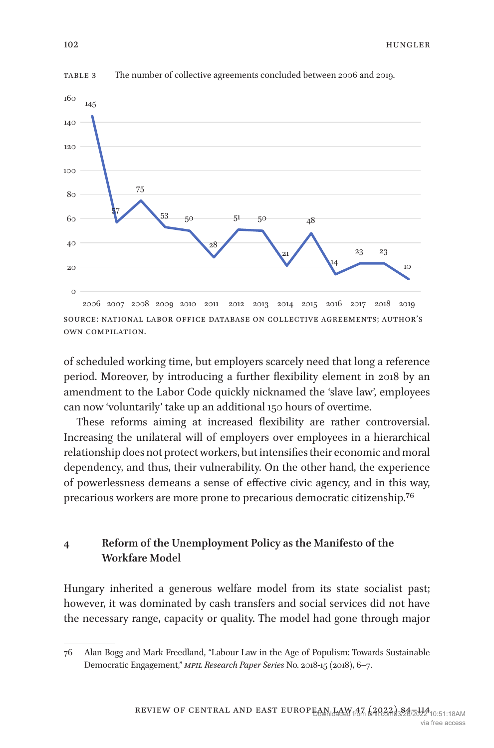

<span id="page-18-0"></span>table 3 The number of collective agreements concluded between 2006 and 2019.

of scheduled working time, but employers scarcely need that long a reference period. Moreover, by introducing a further flexibility element in 2018 by an amendment to the Labor Code quickly nicknamed the 'slave law', employees can now 'voluntarily' take up an additional 150 hours of overtime.

These reforms aiming at increased flexibility are rather controversial. Increasing the unilateral will of employers over employees in a hierarchical relationship does not protect workers, but intensifies their economic and moral dependency, and thus, their vulnerability. On the other hand, the experience of powerlessness demeans a sense of effective civic agency, and in this way, precarious workers are more prone to precarious democratic citizenship[.76](#page-18-1)

# **4 Reform of the Unemployment Policy as the Manifesto of the Workfare Model**

Hungary inherited a generous welfare model from its state socialist past; however, it was dominated by cash transfers and social services did not have the necessary range, capacity or quality. The model had gone through major

source: national labor office database on collective agreements; author's own compilation.

<span id="page-18-1"></span><sup>76</sup> Alan Bogg and Mark Freedland, "Labour Law in the Age of Populism: Towards Sustainable Democratic Engagement," *mpil Research Paper Series* No. 2018-15 (2018), 6–7.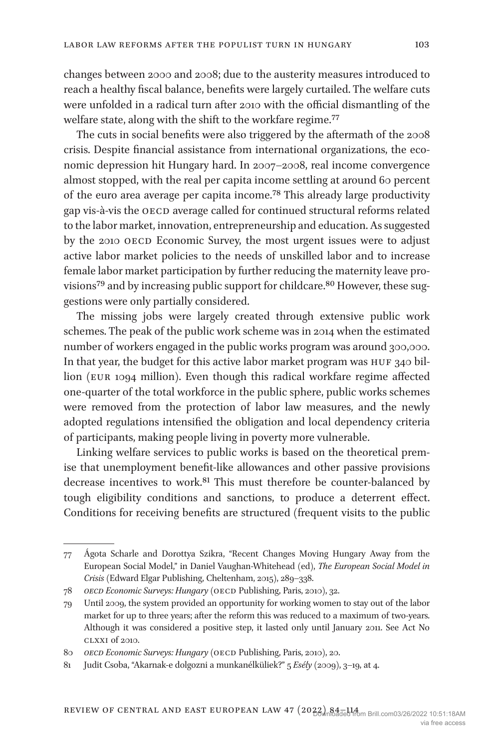changes between 2000 and 2008; due to the austerity measures introduced to reach a healthy fiscal balance, benefits were largely curtailed. The welfare cuts were unfolded in a radical turn after 2010 with the official dismantling of the welfare state, along with the shift to the workfare regime.<sup>77</sup>

The cuts in social benefits were also triggered by the aftermath of the 2008 crisis. Despite financial assistance from international organizations, the economic depression hit Hungary hard. In 2007–2008, real income convergence almost stopped, with the real per capita income settling at around 60 percent of the euro area average per capita income[.78](#page-19-1) This already large productivity gap vis-à-vis the OECD average called for continued structural reforms related to the labor market, innovation, entrepreneurship and education. As suggested by the 2010 OECD Economic Survey, the most urgent issues were to adjust active labor market policies to the needs of unskilled labor and to increase female labor market participation by further reducing the maternity leave pro-visions<sup>[79](#page-19-2)</sup> and by increasing public support for childcare.<sup>80</sup> However, these suggestions were only partially considered.

The missing jobs were largely created through extensive public work schemes. The peak of the public work scheme was in 2014 when the estimated number of workers engaged in the public works program was around 300,000. In that year, the budget for this active labor market program was HUF 340 billion (eur 1094 million). Even though this radical workfare regime affected one-quarter of the total workforce in the public sphere, public works schemes were removed from the protection of labor law measures, and the newly adopted regulations intensified the obligation and local dependency criteria of participants, making people living in poverty more vulnerable.

Linking welfare services to public works is based on the theoretical premise that unemployment benefit-like allowances and other passive provisions decrease incentives to work[.81](#page-19-4) This must therefore be counter-balanced by tough eligibility conditions and sanctions, to produce a deterrent effect. Conditions for receiving benefits are structured (frequent visits to the public

<span id="page-19-0"></span><sup>77</sup> Ágota Scharle and Dorottya Szikra, "Recent Changes Moving Hungary Away from the European Social Model," in Daniel Vaughan-Whitehead (ed), *The European Social Model in Crisis* (Edward Elgar Publishing, Cheltenham, 2015), 289–338.

<span id="page-19-1"></span><sup>78</sup> *oecd Economic Surveys: Hungary* (oecd Publishing, Paris, 2010), 32.

<span id="page-19-2"></span><sup>79</sup> Until 2009, the system provided an opportunity for working women to stay out of the labor market for up to three years; after the reform this was reduced to a maximum of two-years. Although it was considered a positive step, it lasted only until January 2011. See Act No clxxi of 2010.

<span id="page-19-3"></span><sup>80</sup> OECD Economic Surveys: Hungary (OECD Publishing, Paris, 2010), 20.

<span id="page-19-4"></span><sup>81</sup> Judit Csoba, "Akarnak-e dolgozni a munkanélküliek?" 5 *Esély* (2009), 3–19, at 4.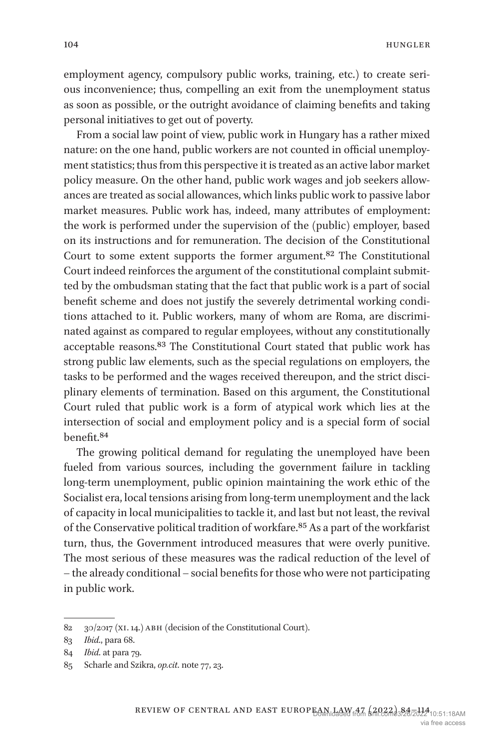employment agency, compulsory public works, training, etc.) to create serious inconvenience; thus, compelling an exit from the unemployment status as soon as possible, or the outright avoidance of claiming benefits and taking personal initiatives to get out of poverty.

From a social law point of view, public work in Hungary has a rather mixed nature: on the one hand, public workers are not counted in official unemployment statistics; thus from this perspective it is treated as an active labor market policy measure. On the other hand, public work wages and job seekers allowances are treated as social allowances, which links public work to passive labor market measures. Public work has, indeed, many attributes of employment: the work is performed under the supervision of the (public) employer, based on its instructions and for remuneration. The decision of the Constitutional Court to some extent supports the former argument.[82](#page-20-0) The Constitutional Court indeed reinforces the argument of the constitutional complaint submitted by the ombudsman stating that the fact that public work is a part of social benefit scheme and does not justify the severely detrimental working conditions attached to it. Public workers, many of whom are Roma, are discriminated against as compared to regular employees, without any constitutionally acceptable reasons.[83](#page-20-1) The Constitutional Court stated that public work has strong public law elements, such as the special regulations on employers, the tasks to be performed and the wages received thereupon, and the strict disciplinary elements of termination. Based on this argument, the Constitutional Court ruled that public work is a form of atypical work which lies at the intersection of social and employment policy and is a special form of social benefit.[84](#page-20-2)

The growing political demand for regulating the unemployed have been fueled from various sources, including the government failure in tackling long-term unemployment, public opinion maintaining the work ethic of the Socialist era, local tensions arising from long-term unemployment and the lack of capacity in local municipalities to tackle it, and last but not least, the revival of the Conservative political tradition of workfare[.85](#page-20-3) As a part of the workfarist turn, thus, the Government introduced measures that were overly punitive. The most serious of these measures was the radical reduction of the level of – the already conditional – social benefits for those who were not participating in public work.

<span id="page-20-0"></span><sup>82 30/2017 (</sup>XI. 14.) ABH (decision of the Constitutional Court).

<span id="page-20-1"></span><sup>83</sup> *Ibid*., para 68.

<span id="page-20-2"></span><sup>84</sup> *Ibid*. at para 79.

<span id="page-20-3"></span><sup>85</sup> Scharle and Szikra, *op.cit*. note 77, 23.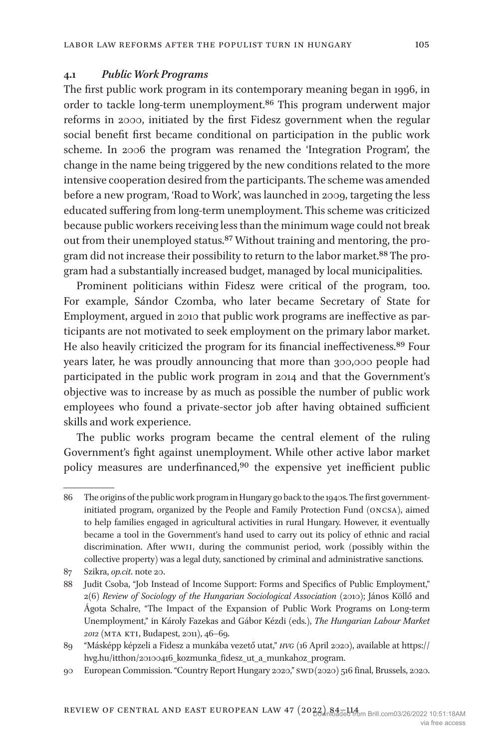## **4.1** *Public Work Programs*

The first public work program in its contemporary meaning began in 1996, in order to tackle long-term unemployment.[86](#page-21-0) This program underwent major reforms in 2000, initiated by the first Fidesz government when the regular social benefit first became conditional on participation in the public work scheme. In 2006 the program was renamed the 'Integration Program', the change in the name being triggered by the new conditions related to the more intensive cooperation desired from the participants. The scheme was amended before a new program, 'Road to Work', was launched in 2009, targeting the less educated suffering from long-term unemployment. This scheme was criticized because public workers receiving less than the minimum wage could not break out from their unemployed status.[87](#page-21-1) Without training and mentoring, the program did not increase their possibility to return to the labor market.<sup>88</sup> The program had a substantially increased budget, managed by local municipalities.

Prominent politicians within Fidesz were critical of the program, too. For example, Sándor Czomba, who later became Secretary of State for Employment, argued in 2010 that public work programs are ineffective as participants are not motivated to seek employment on the primary labor market. He also heavily criticized the program for its financial ineffectiveness.[89](#page-21-3) Four years later, he was proudly announcing that more than 300,000 people had participated in the public work program in 2014 and that the Government's objective was to increase by as much as possible the number of public work employees who found a private-sector job after having obtained sufficient skills and work experience.

The public works program became the central element of the ruling Government's fight against unemployment. While other active labor market policy measures are underfinanced[,90](#page-21-4) the expensive yet inefficient public

<span id="page-21-0"></span><sup>86</sup> The origins of the public work program in Hungary go back to the 1940s. The first governmentinitiated program, organized by the People and Family Protection Fund (oncsa), aimed to help families engaged in agricultural activities in rural Hungary. However, it eventually became a tool in the Government's hand used to carry out its policy of ethnic and racial discrimination. After wwii, during the communist period, work (possibly within the collective property) was a legal duty, sanctioned by criminal and administrative sanctions.

<span id="page-21-1"></span><sup>87</sup> Szikra, *op.cit*. note 20.

<span id="page-21-2"></span><sup>88</sup> Judit Csoba, "Job Instead of Income Support: Forms and Specifics of Public Employment," 2(6) *Review of Sociology of the Hungarian Sociological Association* (2010); János Köllő and Ágota Schalre, "The Impact of the Expansion of Public Work Programs on Long-term Unemployment," in Károly Fazekas and Gábor Kézdi (eds.), *The Hungarian Labour Market 2012* (mta kti, Budapest, 2011), 46–69.

<span id="page-21-3"></span><sup>89</sup> "Másképp képzeli a Fidesz a munkába vezető utat," *hvg* (16 April 2020), available at [https://](https://hvg.hu/itthon/20100416_kozmunka_fidesz_ut_a_munkahoz_program) [hvg.hu/itthon/20100416\\_kozmunka\\_fidesz\\_ut\\_a\\_munkahoz\\_program.](https://hvg.hu/itthon/20100416_kozmunka_fidesz_ut_a_munkahoz_program)

<span id="page-21-4"></span><sup>90</sup> European Commission. "Country Report Hungary 2020," swd(2020) 516 final, Brussels, 2020.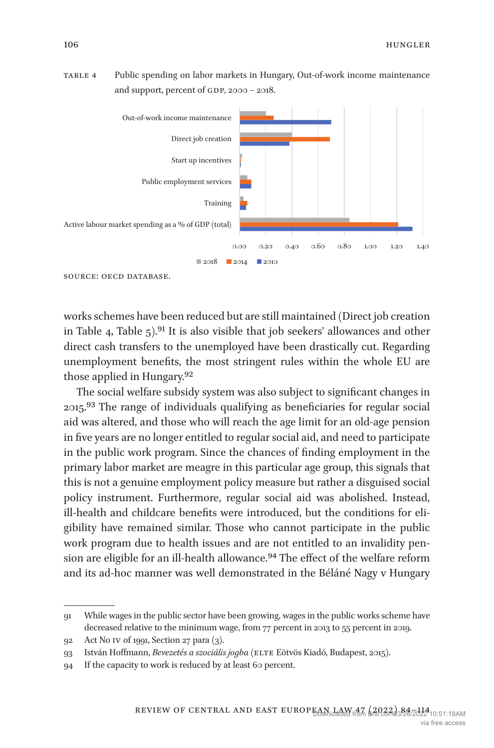<span id="page-22-0"></span>



source: oecd database.

works schemes have been reduced but are still maintained (Direct job creation in [Table 4,](#page-22-0) Table  $5$ ).<sup>91</sup> It is also visible that job seekers' allowances and other direct cash transfers to the unemployed have been drastically cut. Regarding unemployment benefits, the most stringent rules within the whole EU are those applied in Hungary[.92](#page-22-2)

The social welfare subsidy system was also subject to significant changes in 2015[.93](#page-22-3) The range of individuals qualifying as beneficiaries for regular social aid was altered, and those who will reach the age limit for an old-age pension in five years are no longer entitled to regular social aid, and need to participate in the public work program. Since the chances of finding employment in the primary labor market are meagre in this particular age group, this signals that this is not a genuine employment policy measure but rather a disguised social policy instrument. Furthermore, regular social aid was abolished. Instead, ill-health and childcare benefits were introduced, but the conditions for eligibility have remained similar. Those who cannot participate in the public work program due to health issues and are not entitled to an invalidity pension are eligible for an ill-health allowance.<sup>94</sup> The effect of the welfare reform and its ad-hoc manner was well demonstrated in the Béláné Nagy v Hungary

<span id="page-22-1"></span><sup>91</sup> While wages in the public sector have been growing, wages in the public works scheme have decreased relative to the minimum wage, from 77 percent in 2013 to 55 percent in 2019.

<span id="page-22-2"></span><sup>92</sup> Act No iv of 1991, Section 27 para (3).

<span id="page-22-3"></span><sup>93</sup> István Hoffmann, *Bevezetés a szociális jogba* (elte Eötvös Kiadó, Budapest, 2015).

<span id="page-22-4"></span><sup>94</sup> If the capacity to work is reduced by at least 60 percent.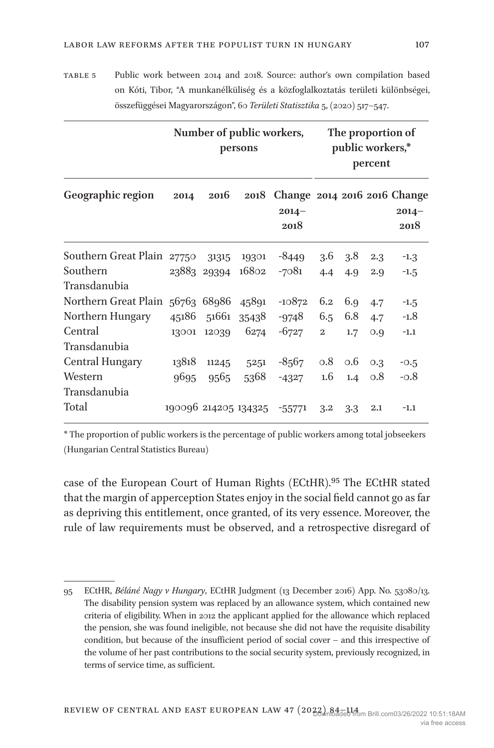<span id="page-23-0"></span>table 5 Public work between 2014 and 2018. Source: author's own compilation based on Kóti, Tibor, "A munkanélküliség és a közfoglalkoztatás területi különbségei, összefüggései Magyarországon", 60 *Területi Statisztika* 5, (2020) 517–547.

|                                  | Number of public workers,<br>persons |                      |       |                                                       | The proportion of<br>public workers,*<br>percent |     |     |                 |
|----------------------------------|--------------------------------------|----------------------|-------|-------------------------------------------------------|--------------------------------------------------|-----|-----|-----------------|
| Geographic region                | 2014                                 | 2016                 |       | 2018 Change 2014 2016 2016 Change<br>$2014 -$<br>2018 |                                                  |     |     | $2014-$<br>2018 |
| Southern Great Plain             | 27750                                | 31315                | 19301 | $-8449$                                               | $3.6\,$                                          | 3.8 | 2.3 | $-1.3$          |
| Southern                         |                                      | 23883 29394          | 16802 | $-7081$                                               | 4.4                                              | 4.9 | 2.9 | $-1.5$          |
| Transdanubia                     |                                      |                      |       |                                                       |                                                  |     |     |                 |
| Northern Great Plain 56763 68986 |                                      |                      | 45891 | $-10872$                                              | 6.2                                              | 6.9 | 4.7 | $-1.5$          |
| Northern Hungary                 | 45186                                | 51661                | 35438 | -9748                                                 | 6.5                                              | 6.8 | 4.7 | $-1.8$          |
| Central                          | 13001                                | 12039                | 6274  | $-6727$                                               | $\overline{2}$                                   | 1.7 | 0.9 | $-1.1$          |
| Transdanubia                     |                                      |                      |       |                                                       |                                                  |     |     |                 |
| <b>Central Hungary</b>           | 13818                                | 11245                | 5251  | $-8567$                                               | 0.8                                              | 0.6 | 0.3 | $-0.5$          |
| Western                          | 9695                                 | 9565                 | 5368  | $-4327$                                               | 1.6                                              | 1.4 | 0.8 | $-0.8$          |
| Transdanubia                     |                                      |                      |       |                                                       |                                                  |     |     |                 |
| Total                            |                                      | 190096 214205 134325 |       | $-55771$                                              | 3.2                                              | 3.3 | 2.1 | $-1.1$          |

\* The proportion of public workers is the percentage of public workers among total jobseekers (Hungarian Central Statistics Bureau)

case of the European Court of Human Rights (ECtHR).[95](#page-23-1) The ECtHR stated that the margin of apperception States enjoy in the social field cannot go as far as depriving this entitlement, once granted, of its very essence. Moreover, the rule of law requirements must be observed, and a retrospective disregard of

<span id="page-23-1"></span><sup>95</sup> ECtHR, *Béláné Nagy v Hungary*, ECtHR Judgment (13 December 2016) App. No. 53080/13. The disability pension system was replaced by an allowance system, which contained new criteria of eligibility. When in 2012 the applicant applied for the allowance which replaced the pension, she was found ineligible, not because she did not have the requisite disability condition, but because of the insufficient period of social cover – and this irrespective of the volume of her past contributions to the social security system, previously recognized, in terms of service time, as sufficient.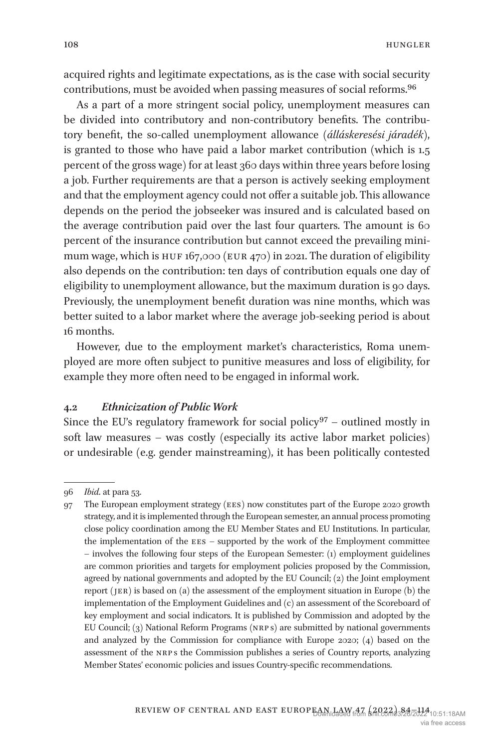acquired rights and legitimate expectations, as is the case with social security contributions, must be avoided when passing measures of social reforms.[96](#page-24-0)

As a part of a more stringent social policy, unemployment measures can be divided into contributory and non-contributory benefits. The contributory benefit, the so-called unemployment allowance (*álláskeresési járadék*), is granted to those who have paid a labor market contribution (which is 1.5 percent of the gross wage) for at least 360 days within three years before losing a job. Further requirements are that a person is actively seeking employment and that the employment agency could not offer a suitable job. This allowance depends on the period the jobseeker was insured and is calculated based on the average contribution paid over the last four quarters. The amount is 60 percent of the insurance contribution but cannot exceed the prevailing minimum wage, which is HUF 167,000 (EUR 470) in 2021. The duration of eligibility also depends on the contribution: ten days of contribution equals one day of eligibility to unemployment allowance, but the maximum duration is 90 days. Previously, the unemployment benefit duration was nine months, which was better suited to a labor market where the average job-seeking period is about 16 months.

However, due to the employment market's characteristics, Roma unemployed are more often subject to punitive measures and loss of eligibility, for example they more often need to be engaged in informal work.

#### **4.2** *Ethnicization of Public Work*

Since the EU's regulatory framework for social policy $97$  – outlined mostly in soft law measures – was costly (especially its active labor market policies) or undesirable (e.g. gender mainstreaming), it has been politically contested

<span id="page-24-0"></span><sup>96</sup> *Ibid*. at para 53.

<span id="page-24-1"></span><sup>97</sup> The European employment strategy (ees) now constitutes part of the Europe 2020 growth strategy, and it is implemented through the European semester, an annual process promoting close policy coordination among the EU Member States and EU Institutions. In particular, the implementation of the ees – supported by the work of the Employment committee – involves the following four steps of the European Semester: (1) employment guidelines are common priorities and targets for employment policies proposed by the Commission, agreed by national governments and adopted by the EU Council; (2) the Joint employment report (jer) is based on (a) the assessment of the employment situation in Europe (b) the implementation of the Employment Guidelines and (c) an assessment of the Scoreboard of key employment and social indicators. It is published by Commission and adopted by the EU Council; (3) National Reform Programs (nrp s) are submitted by national governments and analyzed by the Commission for compliance with Europe 2020; (4) based on the assessment of the nrp s the Commission publishes a series of Country reports, analyzing Member States' economic policies and issues Country-specific recommendations.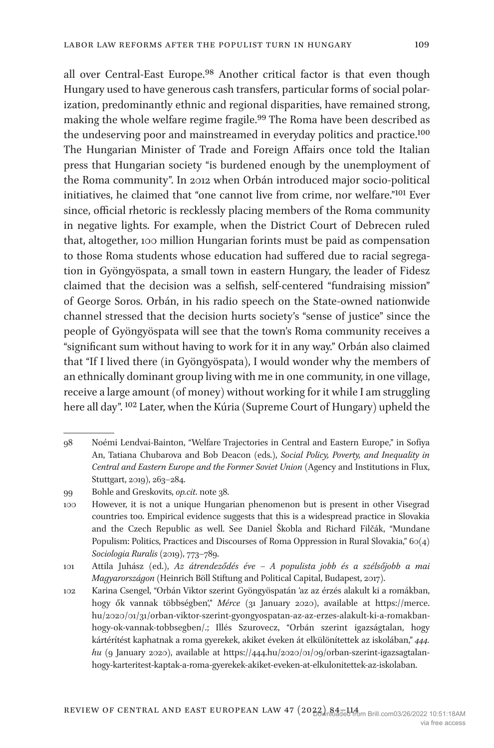all over Central-East Europe.<sup>98</sup> Another critical factor is that even though Hungary used to have generous cash transfers, particular forms of social polarization, predominantly ethnic and regional disparities, have remained strong, making the whole welfare regime fragile.[99](#page-25-1) The Roma have been described as the undeserving poor and mainstreamed in everyday politics and practice.<sup>[100](#page-25-2)</sup> The Hungarian Minister of Trade and Foreign Affairs once told the Italian press that Hungarian society "is burdened enough by the unemployment of the Roma community". In 2012 when Orbán introduced major socio-political initiatives, he claimed that "one cannot live from crime, nor welfare."[101](#page-25-3) Ever since, official rhetoric is recklessly placing members of the Roma community in negative lights. For example, when the District Court of Debrecen ruled that, altogether, 100 million Hungarian forints must be paid as compensation to those Roma students whose education had suffered due to racial segregation in Gyöngyöspata, a small town in eastern Hungary, the leader of Fidesz claimed that the decision was a selfish, self-centered "fundraising mission" of George Soros. Orbán, in his radio speech on the State-owned nationwide channel stressed that the decision hurts society's "sense of justice" since the people of Gyöngyöspata will see that the town's Roma community receives a "significant sum without having to work for it in any way." Orbán also claimed that "If I lived there (in Gyöngyöspata), I would wonder why the members of an ethnically dominant group living with me in one community, in one village, receive a large amount (of money) without working for it while I am struggling here all day". [102](#page-25-4) Later, when the Kúria (Supreme Court of Hungary) upheld the

<span id="page-25-0"></span><sup>98</sup> Noémi Lendvai-Bainton, "Welfare Trajectories in Central and Eastern Europe," in Sofiya An, Tatiana Chubarova and Bob Deacon (eds.), *Social Policy, Poverty, and Inequality in Central and Eastern Europe and the Former Soviet Union* (Agency and Institutions in Flux, Stuttgart, 2019), 263–284.

<span id="page-25-1"></span><sup>99</sup> Bohle and Greskovits, *op.cit*. note 38.

<span id="page-25-2"></span><sup>100</sup> However, it is not a unique Hungarian phenomenon but is present in other Visegrad countries too. Empirical evidence suggests that this is a widespread practice in Slovakia and the Czech Republic as well. See Daniel Škobla and Richard Filčák, "Mundane Populism: Politics, Practices and Discourses of Roma Oppression in Rural Slovakia," 60(4) *Sociologia Ruralis* (2019), 773–789.

<span id="page-25-3"></span><sup>101</sup> Attila Juhász (ed.), *Az átrendeződés éve – A populista jobb és a szélsőjobb a mai Magyarországon* (Heinrich Böll Stiftung and Political Capital, Budapest, 2017).

<span id="page-25-4"></span><sup>102</sup> Karina Csengel, "Orbán Viktor szerint Gyöngyöspatán 'az az érzés alakult ki a romákban, hogy ők vannak többségben'," *Mérce* (31 January 2020), available at [https://merce.](https://merce.hu/2020/01/31/orban-viktor-szerint-gyongyospatan-az-az-erzes-alakult-ki-a-romakban-hogy-ok-vannak-tobbsegben/.;) [hu/2020/01/31/orban-viktor-szerint-gyongyospatan-az-az-erzes-alakult-ki-a-romakban](https://merce.hu/2020/01/31/orban-viktor-szerint-gyongyospatan-az-az-erzes-alakult-ki-a-romakban-hogy-ok-vannak-tobbsegben/.;)[hogy-ok-vannak-tobbsegben/.;](https://merce.hu/2020/01/31/orban-viktor-szerint-gyongyospatan-az-az-erzes-alakult-ki-a-romakban-hogy-ok-vannak-tobbsegben/.;) Illés Szurovecz, "Orbán szerint igazságtalan, hogy kártérítést kaphatnak a roma gyerekek, akiket éveken át elkülönítettek az iskolában," *444. hu* (9 January 2020), available at [https://444.hu/2020/01/09/orban-szerint-igazsagtalan](https://444.hu/2020/01/09/orban-szerint-igazsagtalan-hogy-karteritest-kaptak-a-roma-gyerekek-akiket-eveken-at-elkulonitettek-az-iskolaban)[hogy-karteritest-kaptak-a-roma-gyerekek-akiket-eveken-at-elkulonitettek-az-iskolaban.](https://444.hu/2020/01/09/orban-szerint-igazsagtalan-hogy-karteritest-kaptak-a-roma-gyerekek-akiket-eveken-at-elkulonitettek-az-iskolaban)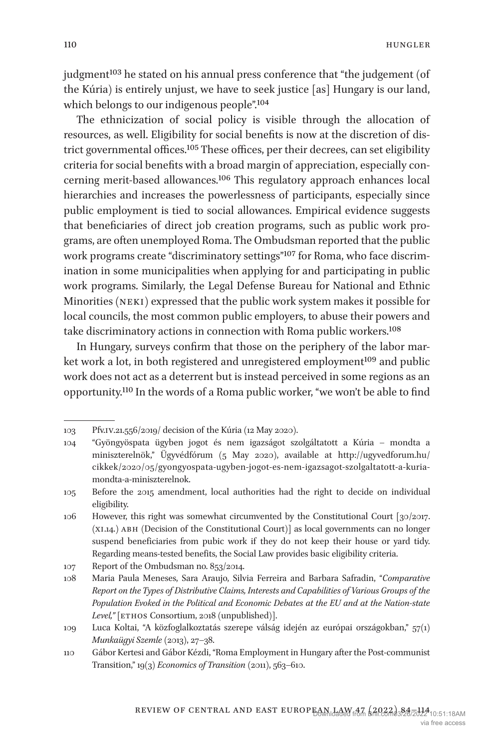hungler

judgment<sup>103</sup> he stated on his annual press conference that "the judgement (of the Kúria) is entirely unjust, we have to seek justice [as] Hungary is our land, which belongs to our indigenous people".<sup>[104](#page-26-1)</sup>

The ethnicization of social policy is visible through the allocation of resources, as well. Eligibility for social benefits is now at the discretion of district governmental offices[.105](#page-26-2) These offices, per their decrees, can set eligibility criteria for social benefits with a broad margin of appreciation, especially concerning merit-based allowances[.106](#page-26-3) This regulatory approach enhances local hierarchies and increases the powerlessness of participants, especially since public employment is tied to social allowances. Empirical evidence suggests that beneficiaries of direct job creation programs, such as public work programs, are often unemployed Roma. The Ombudsman reported that the public work programs create "discriminatory settings"[107](#page-26-4) for Roma, who face discrimination in some municipalities when applying for and participating in public work programs. Similarly, the Legal Defense Bureau for National and Ethnic Minorities (neki) expressed that the public work system makes it possible for local councils, the most common public employers, to abuse their powers and take discriminatory actions in connection with Roma public workers[.108](#page-26-5)

In Hungary, surveys confirm that those on the periphery of the labor market work a lot, in both registered and unregistered employment<sup>109</sup> and public work does not act as a deterrent but is instead perceived in some regions as an opportunity.[110](#page-26-7) In the words of a Roma public worker, "we won't be able to find

<span id="page-26-2"></span>105 Before the 2015 amendment, local authorities had the right to decide on individual eligibility.

<span id="page-26-0"></span><sup>103</sup> Pfv.iv.21.556/2019/ decision of the Kúria (12 May 2020).

<span id="page-26-1"></span><sup>104</sup> "Gyöngyöspata ügyben jogot és nem igazságot szolgáltatott a Kúria – mondta a miniszterelnök," Ügyvédfórum (5 May 2020), available at [http://ugyvedforum.hu/](http://ugyvedforum.hu/cikkek/2020/05/gyongyospata-ugyben-jogot-es-nem-igazsagot-szolgaltatott-a-kuria-mondta-a-miniszterelnok) [cikkek/2020/05/gyongyospata-ugyben-jogot-es-nem-igazsagot-szolgaltatott-a-kuria](http://ugyvedforum.hu/cikkek/2020/05/gyongyospata-ugyben-jogot-es-nem-igazsagot-szolgaltatott-a-kuria-mondta-a-miniszterelnok)[mondta-a-miniszterelnok.](http://ugyvedforum.hu/cikkek/2020/05/gyongyospata-ugyben-jogot-es-nem-igazsagot-szolgaltatott-a-kuria-mondta-a-miniszterelnok)

<span id="page-26-3"></span><sup>106</sup> However, this right was somewhat circumvented by the Constitutional Court [30/2017. (xi.14.) abh (Decision of the Constitutional Court)] as local governments can no longer suspend beneficiaries from pubic work if they do not keep their house or yard tidy. Regarding means-tested benefits, the Social Law provides basic eligibility criteria.

<span id="page-26-4"></span><sup>107</sup> Report of the Ombudsman no. 853/2014.

<span id="page-26-5"></span><sup>108</sup> Maria Paula Meneses, Sara Araujo, Silvia Ferreira and Barbara Safradin, "*Comparative Report on the Types of Distributive Claims, Interests and Capabilities of Various Groups of the Population Evoked in the Political and Economic Debates at the EU and at the Nation-state*  Level," [ETHOS Consortium, 2018 (unpublished)].

<span id="page-26-6"></span><sup>109</sup> Luca Koltai, "A közfoglalkoztatás szerepe válság idején az európai országokban," 57(1) *Munkaügyi Szemle* (2013), 27–38.

<span id="page-26-7"></span><sup>110</sup> Gábor Kertesi and Gábor Kézdi, "Roma Employment in Hungary after the Post-communist Transition," 19(3) *Economics of Transition* (2011), 563–610.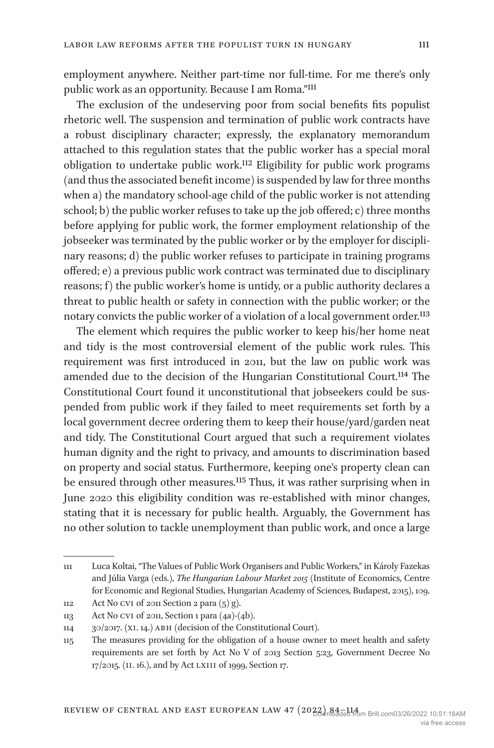employment anywhere. Neither part-time nor full-time. For me there's only public work as an opportunity. Because I am Roma."[111](#page-27-0)

The exclusion of the undeserving poor from social benefits fits populist rhetoric well. The suspension and termination of public work contracts have a robust disciplinary character; expressly, the explanatory memorandum attached to this regulation states that the public worker has a special moral obligation to undertake public work[.112](#page-27-1) Eligibility for public work programs (and thus the associated benefit income) is suspended by law for three months when a) the mandatory school-age child of the public worker is not attending school; b) the public worker refuses to take up the job offered; c) three months before applying for public work, the former employment relationship of the jobseeker was terminated by the public worker or by the employer for disciplinary reasons; d) the public worker refuses to participate in training programs offered; e) a previous public work contract was terminated due to disciplinary reasons; f) the public worker's home is untidy, or a public authority declares a threat to public health or safety in connection with the public worker; or the notary convicts the public worker of a violation of a local government order.<sup>113</sup>

The element which requires the public worker to keep his/her home neat and tidy is the most controversial element of the public work rules. This requirement was first introduced in 2011, but the law on public work was amended due to the decision of the Hungarian Constitutional Court[.114](#page-27-3) The Constitutional Court found it unconstitutional that jobseekers could be suspended from public work if they failed to meet requirements set forth by a local government decree ordering them to keep their house/yard/garden neat and tidy. The Constitutional Court argued that such a requirement violates human dignity and the right to privacy, and amounts to discrimination based on property and social status. Furthermore, keeping one's property clean can be ensured through other measures.[115](#page-27-4) Thus, it was rather surprising when in June 2020 this eligibility condition was re-established with minor changes, stating that it is necessary for public health. Arguably, the Government has no other solution to tackle unemployment than public work, and once a large

<span id="page-27-0"></span><sup>111</sup> Luca Koltai, "The Values of Public Work Organisers and Public Workers," in Károly Fazekas and Júlia Varga (eds.), *The Hungarian Labour Market 2015* (Institute of Economics, Centre for Economic and Regional Studies, Hungarian Academy of Sciences, Budapest, 2015), 109. 112 Act No cvi of 2011 Section 2 para (5) g).

<span id="page-27-2"></span><span id="page-27-1"></span>

<sup>113</sup> Act No cvi of 2011, Section 1 para (4a)-(4b).

<span id="page-27-3"></span><sup>114</sup> 30/2017. (xi. 14.) abh (decision of the Constitutional Court).

<span id="page-27-4"></span><sup>115</sup> The measures providing for the obligation of a house owner to meet health and safety requirements are set forth by Act No V of 2013 Section 5:23, Government Decree No 17/2015. (ii. 16.), and by Act lxiii of 1999, Section 17.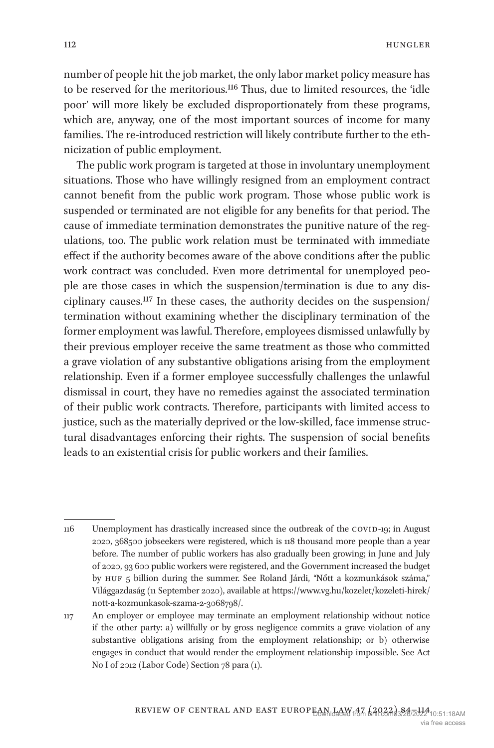number of people hit the job market, the only labor market policy measure has to be reserved for the meritorious.[116](#page-28-0) Thus, due to limited resources, the 'idle poor' will more likely be excluded disproportionately from these programs, which are, anyway, one of the most important sources of income for many families. The re-introduced restriction will likely contribute further to the ethnicization of public employment.

The public work program is targeted at those in involuntary unemployment situations. Those who have willingly resigned from an employment contract cannot benefit from the public work program. Those whose public work is suspended or terminated are not eligible for any benefits for that period. The cause of immediate termination demonstrates the punitive nature of the regulations, too. The public work relation must be terminated with immediate effect if the authority becomes aware of the above conditions after the public work contract was concluded. Even more detrimental for unemployed people are those cases in which the suspension/termination is due to any disciplinary causes[.117](#page-28-1) In these cases, the authority decides on the suspension/ termination without examining whether the disciplinary termination of the former employment was lawful. Therefore, employees dismissed unlawfully by their previous employer receive the same treatment as those who committed a grave violation of any substantive obligations arising from the employment relationship. Even if a former employee successfully challenges the unlawful dismissal in court, they have no remedies against the associated termination of their public work contracts. Therefore, participants with limited access to justice, such as the materially deprived or the low-skilled, face immense structural disadvantages enforcing their rights. The suspension of social benefits leads to an existential crisis for public workers and their families.

<span id="page-28-0"></span><sup>116</sup> Unemployment has drastically increased since the outbreak of the COVID-19; in August 2020, 368500 jobseekers were registered, which is 118 thousand more people than a year before. The number of public workers has also gradually been growing; in June and July of 2020, 93 600 public workers were registered, and the Government increased the budget by HUF 5 billion during the summer. See Roland Járdi, "Nőtt a kozmunkások száma," Világgazdaság (11 September 2020), available at [https://www.vg.hu/kozelet/kozeleti-hirek/](https://www.vg.hu/kozelet/kozeleti-hirek/nott-a-kozmunkasok-szama-2-3068798/) [nott-a-kozmunkasok-szama-2-3068798/.](https://www.vg.hu/kozelet/kozeleti-hirek/nott-a-kozmunkasok-szama-2-3068798/)

<span id="page-28-1"></span><sup>117</sup> An employer or employee may terminate an employment relationship without notice if the other party: a) willfully or by gross negligence commits a grave violation of any substantive obligations arising from the employment relationship; or b) otherwise engages in conduct that would render the employment relationship impossible. See Act No I of 2012 (Labor Code) Section 78 para (1).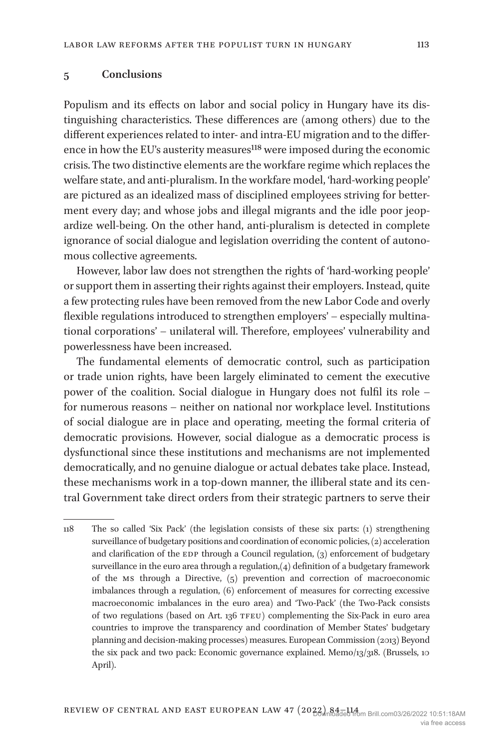#### **5 Conclusions**

Populism and its effects on labor and social policy in Hungary have its distinguishing characteristics. These differences are (among others) due to the different experiences related to inter- and intra-EU migration and to the difference in how the EU's austerity measures<sup>118</sup> were imposed during the economic crisis. The two distinctive elements are the workfare regime which replaces the welfare state, and anti-pluralism. In the workfare model, 'hard-working people' are pictured as an idealized mass of disciplined employees striving for betterment every day; and whose jobs and illegal migrants and the idle poor jeopardize well-being. On the other hand, anti-pluralism is detected in complete ignorance of social dialogue and legislation overriding the content of autonomous collective agreements.

However, labor law does not strengthen the rights of 'hard-working people' or support them in asserting their rights against their employers. Instead, quite a few protecting rules have been removed from the new Labor Code and overly flexible regulations introduced to strengthen employers' – especially multinational corporations' – unilateral will. Therefore, employees' vulnerability and powerlessness have been increased.

The fundamental elements of democratic control, such as participation or trade union rights, have been largely eliminated to cement the executive power of the coalition. Social dialogue in Hungary does not fulfil its role – for numerous reasons – neither on national nor workplace level. Institutions of social dialogue are in place and operating, meeting the formal criteria of democratic provisions. However, social dialogue as a democratic process is dysfunctional since these institutions and mechanisms are not implemented democratically, and no genuine dialogue or actual debates take place. Instead, these mechanisms work in a top-down manner, the illiberal state and its central Government take direct orders from their strategic partners to serve their

<span id="page-29-0"></span><sup>118</sup> The so called 'Six Pack' (the legislation consists of these six parts: (1) strengthening surveillance of budgetary positions and coordination of economic policies, (2) acceleration and clarification of the  $EDP$  through a Council regulation,  $(3)$  enforcement of budgetary surveillance in the euro area through a regulation,(4) definition of a budgetary framework of the ms through a Directive, (5) prevention and correction of macroeconomic imbalances through a regulation, (6) enforcement of measures for correcting excessive macroeconomic imbalances in the euro area) and 'Two-Pack' (the Two-Pack consists of two regulations (based on Art. 136 TFEU) complementing the Six-Pack in euro area countries to improve the transparency and coordination of Member States' budgetary planning and decision-making processes) measures. European Commission (2013) Beyond the six pack and two pack: Economic governance explained. Memo/13/318. (Brussels, 10 April).